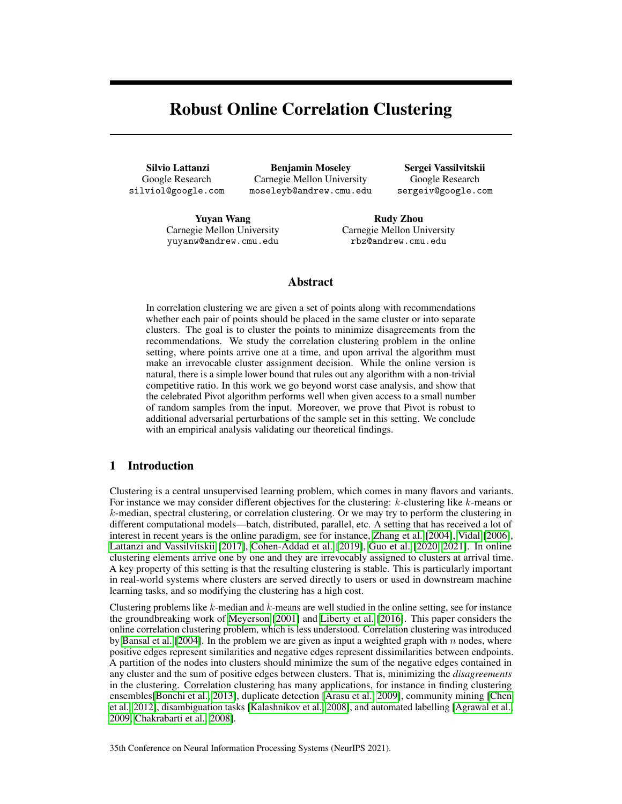# Robust Online Correlation Clustering

Silvio Lattanzi Google Research silviol@google.com

Benjamin Moseley Carnegie Mellon University moseleyb@andrew.cmu.edu

Sergei Vassilvitskii Google Research sergeiv@google.com

Yuyan Wang Carnegie Mellon University yuyanw@andrew.cmu.edu

Rudy Zhou Carnegie Mellon University rbz@andrew.cmu.edu

# Abstract

In correlation clustering we are given a set of points along with recommendations whether each pair of points should be placed in the same cluster or into separate clusters. The goal is to cluster the points to minimize disagreements from the recommendations. We study the correlation clustering problem in the online setting, where points arrive one at a time, and upon arrival the algorithm must make an irrevocable cluster assignment decision. While the online version is natural, there is a simple lower bound that rules out any algorithm with a non-trivial competitive ratio. In this work we go beyond worst case analysis, and show that the celebrated Pivot algorithm performs well when given access to a small number of random samples from the input. Moreover, we prove that Pivot is robust to additional adversarial perturbations of the sample set in this setting. We conclude with an empirical analysis validating our theoretical findings.

# 1 Introduction

Clustering is a central unsupervised learning problem, which comes in many flavors and variants. For instance we may consider different objectives for the clustering:  $k$ -clustering like  $k$ -means or  $k$ -median, spectral clustering, or correlation clustering. Or we may try to perform the clustering in different computational models—batch, distributed, parallel, etc. A setting that has received a lot of interest in recent years is the online paradigm, see for instance, [Zhang et al.](#page-10-0) [\[2004\]](#page-10-0), [Vidal](#page-10-1) [\[2006\]](#page-10-1), [Lattanzi and Vassilvitskii](#page-10-2) [\[2017\]](#page-10-2), [Cohen-Addad et al.](#page-9-0) [\[2019\]](#page-9-0), [Guo et al.](#page-10-3) [\[2020,](#page-10-3) [2021\]](#page-10-4). In online clustering elements arrive one by one and they are irrevocably assigned to clusters at arrival time. A key property of this setting is that the resulting clustering is stable. This is particularly important in real-world systems where clusters are served directly to users or used in downstream machine learning tasks, and so modifying the clustering has a high cost.

Clustering problems like  $k$ -median and  $k$ -means are well studied in the online setting, see for instance the groundbreaking work of [Meyerson](#page-10-5) [\[2001\]](#page-10-5) and [Liberty et al.](#page-10-6) [\[2016\]](#page-10-6). This paper considers the online correlation clustering problem, which is less understood. Correlation clustering was introduced by [Bansal et al.](#page-9-1) [\[2004\]](#page-9-1). In the problem we are given as input a weighted graph with  $n$  nodes, where positive edges represent similarities and negative edges represent dissimilarities between endpoints. A partition of the nodes into clusters should minimize the sum of the negative edges contained in any cluster and the sum of positive edges between clusters. That is, minimizing the *disagreements* in the clustering. Correlation clustering has many applications, for instance in finding clustering ensembles[\[Bonchi et al., 2013\]](#page-9-2), duplicate detection [\[Arasu et al., 2009\]](#page-9-3), community mining [\[Chen](#page-9-4) [et al., 2012\]](#page-9-4), disambiguation tasks [\[Kalashnikov et al., 2008\]](#page-10-7), and automated labelling [\[Agrawal et al.,](#page-9-5) [2009,](#page-9-5) [Chakrabarti et al., 2008\]](#page-9-6).

35th Conference on Neural Information Processing Systems (NeurIPS 2021).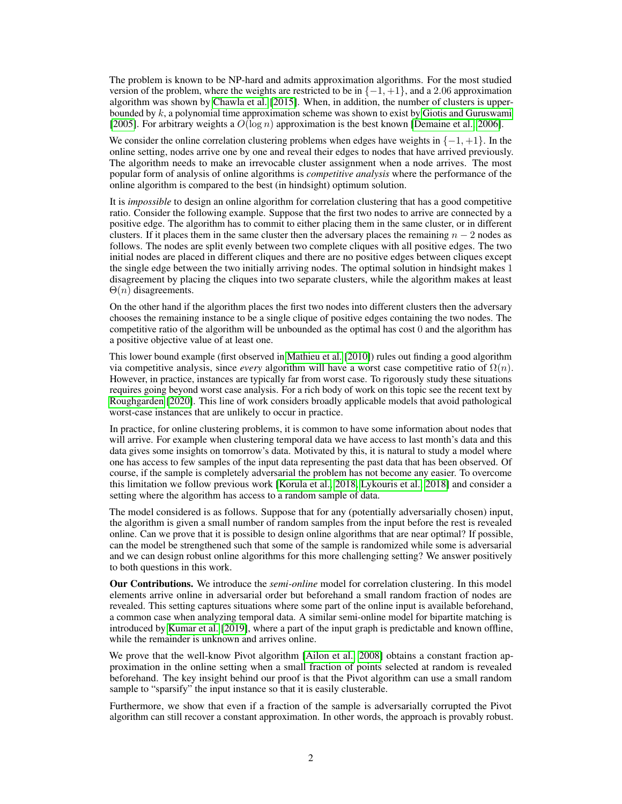The problem is known to be NP-hard and admits approximation algorithms. For the most studied version of the problem, where the weights are restricted to be in  $\{-1, +1\}$ , and a 2.06 approximation algorithm was shown by [Chawla et al.](#page-9-7) [\[2015\]](#page-9-7). When, in addition, the number of clusters is upperbounded by  $k$ , a polynomial time approximation scheme was shown to exist by [Giotis and Guruswami](#page-9-8) [\[2005\]](#page-9-8). For arbitrary weights a  $O(\log n)$  approximation is the best known [\[Demaine et al., 2006\]](#page-9-9).

We consider the online correlation clustering problems when edges have weights in  $\{-1, +1\}$ . In the online setting, nodes arrive one by one and reveal their edges to nodes that have arrived previously. The algorithm needs to make an irrevocable cluster assignment when a node arrives. The most popular form of analysis of online algorithms is *competitive analysis* where the performance of the online algorithm is compared to the best (in hindsight) optimum solution.

It is *impossible* to design an online algorithm for correlation clustering that has a good competitive ratio. Consider the following example. Suppose that the first two nodes to arrive are connected by a positive edge. The algorithm has to commit to either placing them in the same cluster, or in different clusters. If it places them in the same cluster then the adversary places the remaining  $n - 2$  nodes as follows. The nodes are split evenly between two complete cliques with all positive edges. The two initial nodes are placed in different cliques and there are no positive edges between cliques except the single edge between the two initially arriving nodes. The optimal solution in hindsight makes 1 disagreement by placing the cliques into two separate clusters, while the algorithm makes at least  $\Theta(n)$  disagreements.

On the other hand if the algorithm places the first two nodes into different clusters then the adversary chooses the remaining instance to be a single clique of positive edges containing the two nodes. The competitive ratio of the algorithm will be unbounded as the optimal has cost 0 and the algorithm has a positive objective value of at least one.

This lower bound example (first observed in [Mathieu et al.](#page-10-8) [\[2010\]](#page-10-8)) rules out finding a good algorithm via competitive analysis, since *every* algorithm will have a worst case competitive ratio of  $\Omega(n)$ . However, in practice, instances are typically far from worst case. To rigorously study these situations requires going beyond worst case analysis. For a rich body of work on this topic see the recent text by [Roughgarden](#page-10-9) [\[2020\]](#page-10-9). This line of work considers broadly applicable models that avoid pathological worst-case instances that are unlikely to occur in practice.

In practice, for online clustering problems, it is common to have some information about nodes that will arrive. For example when clustering temporal data we have access to last month's data and this data gives some insights on tomorrow's data. Motivated by this, it is natural to study a model where one has access to few samples of the input data representing the past data that has been observed. Of course, if the sample is completely adversarial the problem has not become any easier. To overcome this limitation we follow previous work [\[Korula et al., 2018,](#page-10-10) [Lykouris et al., 2018\]](#page-10-11) and consider a setting where the algorithm has access to a random sample of data.

The model considered is as follows. Suppose that for any (potentially adversarially chosen) input, the algorithm is given a small number of random samples from the input before the rest is revealed online. Can we prove that it is possible to design online algorithms that are near optimal? If possible, can the model be strengthened such that some of the sample is randomized while some is adversarial and we can design robust online algorithms for this more challenging setting? We answer positively to both questions in this work.

Our Contributions. We introduce the *semi-online* model for correlation clustering. In this model elements arrive online in adversarial order but beforehand a small random fraction of nodes are revealed. This setting captures situations where some part of the online input is available beforehand, a common case when analyzing temporal data. A similar semi-online model for bipartite matching is introduced by [Kumar et al.](#page-10-12) [\[2019\]](#page-10-12), where a part of the input graph is predictable and known offline, while the remainder is unknown and arrives online.

We prove that the well-know Pivot algorithm [\[Ailon et al., 2008\]](#page-9-10) obtains a constant fraction approximation in the online setting when a small fraction of points selected at random is revealed beforehand. The key insight behind our proof is that the Pivot algorithm can use a small random sample to "sparsify" the input instance so that it is easily clusterable.

Furthermore, we show that even if a fraction of the sample is adversarially corrupted the Pivot algorithm can still recover a constant approximation. In other words, the approach is provably robust.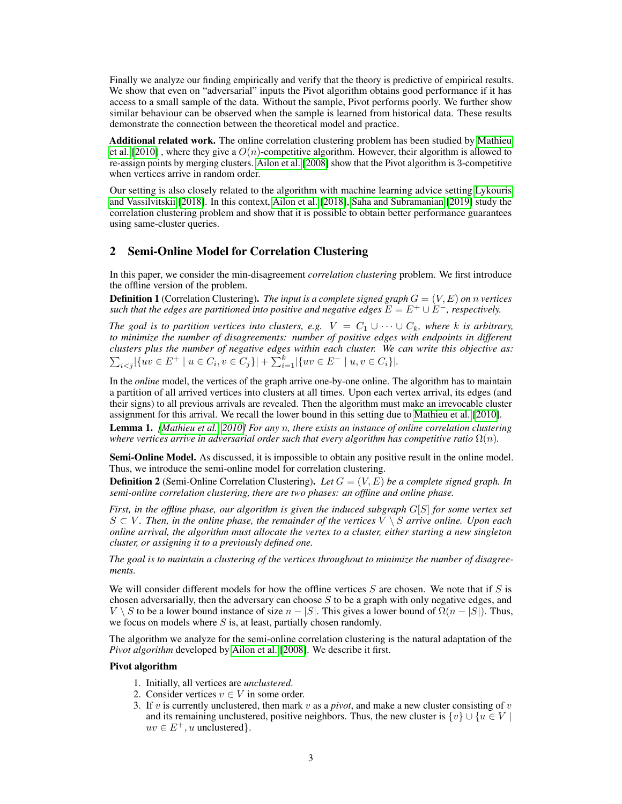Finally we analyze our finding empirically and verify that the theory is predictive of empirical results. We show that even on "adversarial" inputs the Pivot algorithm obtains good performance if it has access to a small sample of the data. Without the sample, Pivot performs poorly. We further show similar behaviour can be observed when the sample is learned from historical data. These results demonstrate the connection between the theoretical model and practice.

Additional related work. The online correlation clustering problem has been studied by [Mathieu](#page-10-8) [et al.](#page-10-8) [\[2010\]](#page-10-8), where they give a  $O(n)$ -competitive algorithm. However, their algorithm is allowed to re-assign points by merging clusters. [Ailon et al.](#page-9-10) [\[2008\]](#page-9-10) show that the Pivot algorithm is 3-competitive when vertices arrive in random order.

Our setting is also closely related to the algorithm with machine learning advice setting [Lykouris](#page-10-13) [and Vassilvitskii](#page-10-13) [\[2018\]](#page-10-13). In this context, [Ailon et al.](#page-9-11) [\[2018\]](#page-9-11), [Saha and Subramanian](#page-10-14) [\[2019\]](#page-10-14) study the correlation clustering problem and show that it is possible to obtain better performance guarantees using same-cluster queries.

## 2 Semi-Online Model for Correlation Clustering

In this paper, we consider the min-disagreement *correlation clustering* problem. We first introduce the offline version of the problem.

**Definition 1** (Correlation Clustering). *The input is a complete signed graph*  $G = (V, E)$  *on n* vertices *such that the edges are partitioned into positive and negative edges*  $E = E^+ \cup E^-$ *, respectively.* 

*The goal is to partition vertices into clusters, e.g.*  $V = C_1 \cup \cdots \cup C_k$ *, where k is arbitrary, to minimize the number of disagreements: number of positive edges with endpoints in different clusters plus the number of negative edges within each cluster. We can write this objective as:*  $\sum_{i < j} |\{uv \in E^+ \mid u \in C_i, v \in C_j\}| + \sum_{i=1}^k |\{uv \in E^- \mid u, v \in C_i\}|.$ 

In the *online* model, the vertices of the graph arrive one-by-one online. The algorithm has to maintain a partition of all arrived vertices into clusters at all times. Upon each vertex arrival, its edges (and their signs) to all previous arrivals are revealed. Then the algorithm must make an irrevocable cluster assignment for this arrival. We recall the lower bound in this setting due to [Mathieu et al.](#page-10-8) [\[2010\]](#page-10-8).

<span id="page-2-0"></span>Lemma 1. *[\[Mathieu et al., 2010\]](#page-10-8) For any* n*, there exists an instance of online correlation clustering where vertices arrive in adversarial order such that every algorithm has competitive ratio*  $\Omega(n)$ *.* 

Semi-Online Model. As discussed, it is impossible to obtain any positive result in the online model. Thus, we introduce the semi-online model for correlation clustering.

**Definition 2** (Semi-Online Correlation Clustering). Let  $G = (V, E)$  be a complete signed graph. In *semi-online correlation clustering, there are two phases: an offline and online phase.*

*First, in the offline phase, our algorithm is given the induced subgraph* G[S] *for some vertex set*  $S \subset V$ . Then, in the online phase, the remainder of the vertices  $V \setminus S$  arrive online. Upon each *online arrival, the algorithm must allocate the vertex to a cluster, either starting a new singleton cluster, or assigning it to a previously defined one.*

*The goal is to maintain a clustering of the vertices throughout to minimize the number of disagreements.*

We will consider different models for how the offline vertices  $S$  are chosen. We note that if  $S$  is chosen adversarially, then the adversary can choose  $S$  to be a graph with only negative edges, and V \ S to be a lower bound instance of size  $n - |S|$ . This gives a lower bound of  $\Omega(n - |S|)$ . Thus, we focus on models where  $S$  is, at least, partially chosen randomly.

The algorithm we analyze for the semi-online correlation clustering is the natural adaptation of the *Pivot algorithm* developed by [Ailon et al.](#page-9-10) [\[2008\]](#page-9-10). We describe it first.

#### Pivot algorithm

- 1. Initially, all vertices are *unclustered*.
- 2. Consider vertices  $v \in V$  in some order.
- 3. If v is currently unclustered, then mark v as a *pivot*, and make a new cluster consisting of v and its remaining unclustered, positive neighbors. Thus, the new cluster is  $\{v\} \cup \{u \in V\}$  $uv \in E^+, u$  unclustered.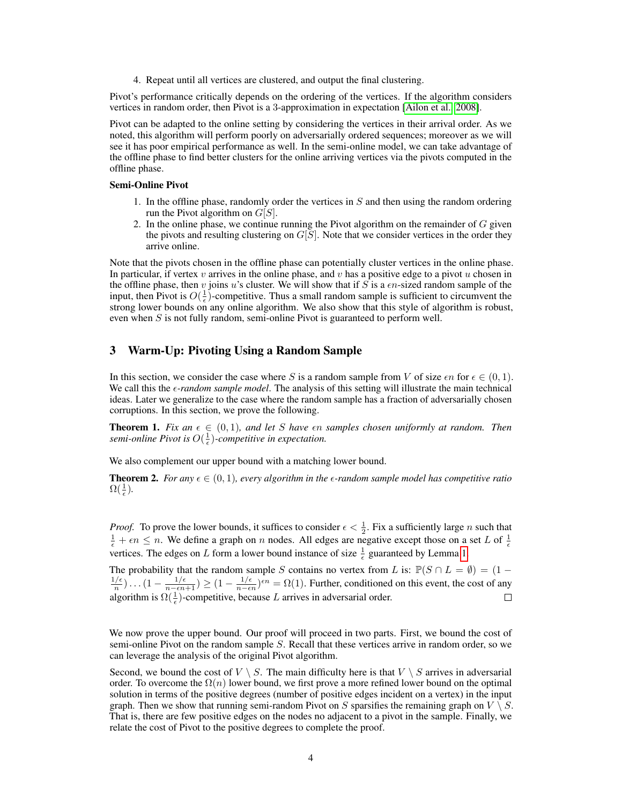4. Repeat until all vertices are clustered, and output the final clustering.

Pivot's performance critically depends on the ordering of the vertices. If the algorithm considers vertices in random order, then Pivot is a 3-approximation in expectation [\[Ailon et al., 2008\]](#page-9-10).

Pivot can be adapted to the online setting by considering the vertices in their arrival order. As we noted, this algorithm will perform poorly on adversarially ordered sequences; moreover as we will see it has poor empirical performance as well. In the semi-online model, we can take advantage of the offline phase to find better clusters for the online arriving vertices via the pivots computed in the offline phase.

#### Semi-Online Pivot

- 1. In the offline phase, randomly order the vertices in  $S$  and then using the random ordering run the Pivot algorithm on  $G[S]$ .
- 2. In the online phase, we continue running the Pivot algorithm on the remainder of  $G$  given the pivots and resulting clustering on  $G[S]$ . Note that we consider vertices in the order they arrive online.

Note that the pivots chosen in the offline phase can potentially cluster vertices in the online phase. In particular, if vertex v arrives in the online phase, and v has a positive edge to a pivot  $u$  chosen in the offline phase, then v joins u's cluster. We will show that if S is a  $\epsilon n$ -sized random sample of the input, then Pivot is  $O(\frac{1}{\epsilon})$ -competitive. Thus a small random sample is sufficient to circumvent the strong lower bounds on any online algorithm. We also show that this style of algorithm is robust, even when  $S$  is not fully random, semi-online Pivot is guaranteed to perform well.

# 3 Warm-Up: Pivoting Using a Random Sample

In this section, we consider the case where S is a random sample from V of size  $\epsilon n$  for  $\epsilon \in (0,1)$ . We call this the *e-random sample model*. The analysis of this setting will illustrate the main technical ideas. Later we generalize to the case where the random sample has a fraction of adversarially chosen corruptions. In this section, we prove the following.

<span id="page-3-0"></span>**Theorem 1.** Fix an  $\epsilon \in (0,1)$ , and let S have  $\epsilon n$  samples chosen uniformly at random. Then semi-online Pivot is  $O(\frac{1}{\epsilon})$ -competitive in expectation.

We also complement our upper bound with a matching lower bound.

<span id="page-3-1"></span>**Theorem 2.** For any  $\epsilon \in (0, 1)$ , every algorithm in the  $\epsilon$ -random sample model has competitive ratio  $\Omega(\frac{1}{\epsilon}).$ 

*Proof.* To prove the lower bounds, it suffices to consider  $\epsilon < \frac{1}{2}$ . Fix a sufficiently large *n* such that  $\frac{1}{\epsilon} + \epsilon n \leq n$ . We define a graph on *n* nodes. All edges are negative except those on a set *L* of  $\frac{1}{\epsilon}$ vertices. The edges on L form a lower bound instance of size  $\frac{1}{\epsilon}$  guaranteed by Lemma [1.](#page-2-0)

The probability that the random sample S contains no vertex from L is:  $\mathbb{P}(S \cap L = \emptyset) = (1 - 1/\epsilon)$   $(1 - 1/\epsilon) \ge (1 - 1/\epsilon)$  for  $(1 - 1/\epsilon)$  Further conditioned on this suppt the sect of grup  $\frac{1/\epsilon}{n})\ldots(1-\frac{1/\epsilon}{n-\epsilon n+1})\geq (1-\frac{1/\epsilon}{n-\epsilon n})$  $\frac{1}{n-\epsilon n}$ )<sup> $\epsilon n$ </sup> =  $\Omega(1)$ . Further, conditioned on this event, the cost of any algorithm is  $\Omega(\frac{1}{\epsilon})$ -competitive, because L arrives in adversarial order.  $\Box$ 

We now prove the upper bound. Our proof will proceed in two parts. First, we bound the cost of semi-online Pivot on the random sample S. Recall that these vertices arrive in random order, so we can leverage the analysis of the original Pivot algorithm.

Second, we bound the cost of  $V \setminus S$ . The main difficulty here is that  $V \setminus S$  arrives in adversarial order. To overcome the  $\Omega(n)$  lower bound, we first prove a more refined lower bound on the optimal solution in terms of the positive degrees (number of positive edges incident on a vertex) in the input graph. Then we show that running semi-random Pivot on S sparsifies the remaining graph on  $V \setminus S$ . That is, there are few positive edges on the nodes no adjacent to a pivot in the sample. Finally, we relate the cost of Pivot to the positive degrees to complete the proof.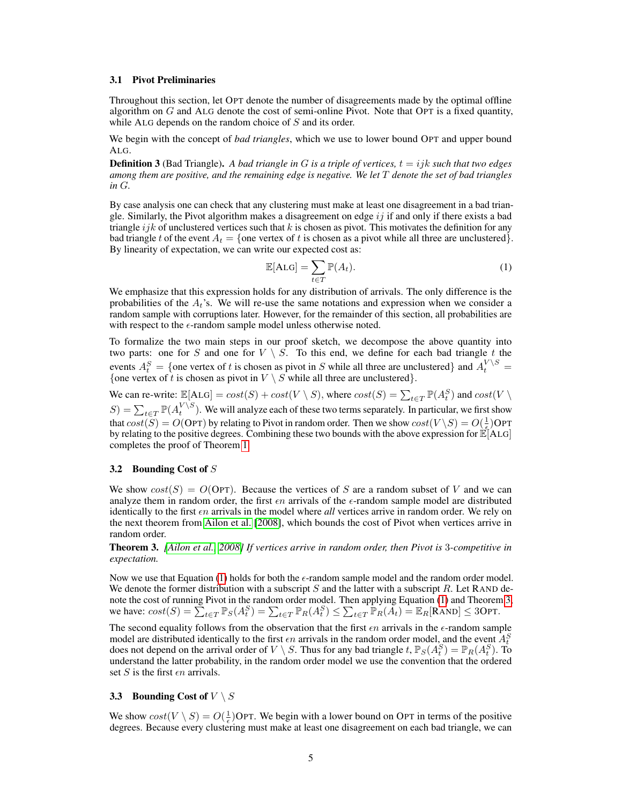#### 3.1 Pivot Preliminaries

Throughout this section, let OPT denote the number of disagreements made by the optimal offline algorithm on  $G$  and ALG denote the cost of semi-online Pivot. Note that OPT is a fixed quantity, while ALG depends on the random choice of S and its order.

We begin with the concept of *bad triangles*, which we use to lower bound OPT and upper bound ALG.

**Definition 3** (Bad Triangle). A bad triangle in G is a triple of vertices,  $t = ijk$  such that two edges *among them are positive, and the remaining edge is negative. We let* T *denote the set of bad triangles in* G*.*

By case analysis one can check that any clustering must make at least one disagreement in a bad triangle. Similarly, the Pivot algorithm makes a disagreement on edge  $ij$  if and only if there exists a bad triangle  $ijk$  of unclustered vertices such that k is chosen as pivot. This motivates the definition for any bad triangle t of the event  $A_t = \{$  one vertex of t is chosen as a pivot while all three are unclustered $\}$ . By linearity of expectation, we can write our expected cost as:

<span id="page-4-0"></span>
$$
\mathbb{E}[\text{ALG}] = \sum_{t \in T} \mathbb{P}(A_t). \tag{1}
$$

We emphasize that this expression holds for any distribution of arrivals. The only difference is the probabilities of the  $A_t$ 's. We will re-use the same notations and expression when we consider a random sample with corruptions later. However, for the remainder of this section, all probabilities are with respect to the  $\epsilon$ -random sample model unless otherwise noted.

To formalize the two main steps in our proof sketch, we decompose the above quantity into two parts: one for S and one for  $V \setminus S$ . To this end, we define for each bad triangle t the events  $A_t^S = \{$  one vertex of t is chosen as pivot in S while all three are unclustered} and  $A_t^{V \setminus S} =$ {one vertex of t is chosen as pivot in  $V \setminus S$  while all three are unclustered}.

We can re-write:  $\mathbb{E}[A \text{LG}] = cost(S) + cost(V \setminus S)$ , where  $cost(S) = \sum_{t \in T} \mathbb{P}(A_t^S)$  and  $cost(V \setminus S)$  $S) = \sum_{t \in T} \mathbb{P}(A_t^{V \setminus S})$ . We will analyze each of these two terms separately. In particular, we first show that  $cost(S) = O(OPT)$  by relating to Pivot in random order. Then we show  $cost(V \setminus S) = O(\frac{1}{\epsilon})$ OPT by relating to the positive degrees. Combining these two bounds with the above expression for  $\mathbb{E}[\text{ALG}]$ completes the proof of Theorem [1.](#page-3-0)

### 3.2 Bounding Cost of S

We show  $cost(S) = O(OPT)$ . Because the vertices of S are a random subset of V and we can analyze them in random order, the first  $\epsilon n$  arrivals of the  $\epsilon$ -random sample model are distributed identically to the first  $\epsilon n$  arrivals in the model where *all* vertices arrive in random order. We rely on the next theorem from [Ailon et al.](#page-9-10) [\[2008\]](#page-9-10), which bounds the cost of Pivot when vertices arrive in random order.

<span id="page-4-1"></span>Theorem 3. *[\[Ailon et al., 2008\]](#page-9-10) If vertices arrive in random order, then Pivot is* 3*-competitive in expectation.*

Now we use that Equation [\(1\)](#page-4-0) holds for both the  $\epsilon$ -random sample model and the random order model. We denote the former distribution with a subscript S and the latter with a subscript R. Let RAND denote the cost of running Pivot in the random order model. Then applying Equation [\(1\)](#page-4-0) and Theorem [3,](#page-4-1) we have:  $cost(S) = \sum_{t \in T} \mathbb{P}_S(A_t^S) = \sum_{t \in T} \mathbb{P}_R(A_t^S) \le \sum_{t \in T} \mathbb{P}_R(A_t) = \mathbb{E}_R[\text{RAND}] \le 3\text{OPT}.$ 

The second equality follows from the observation that the first  $\epsilon n$  arrivals in the  $\epsilon$ -random sample model are distributed identically to the first  $\epsilon n$  arrivals in the random order model, and the event  $A_t^S$ does not depend on the arrival order of  $V \setminus S$ . Thus for any bad triangle  $t$ ,  $\mathbb{P}_S(A_t^S) = \mathbb{P}_R(A_t^S)$ . To understand the latter probability, in the random order model we use the convention that the ordered set S is the first  $\epsilon n$  arrivals.

#### **3.3** Bounding Cost of  $V \setminus S$

We show  $cost(V \setminus S) = O(\frac{1}{\epsilon})$ OPT. We begin with a lower bound on OPT in terms of the positive degrees. Because every clustering must make at least one disagreement on each bad triangle, we can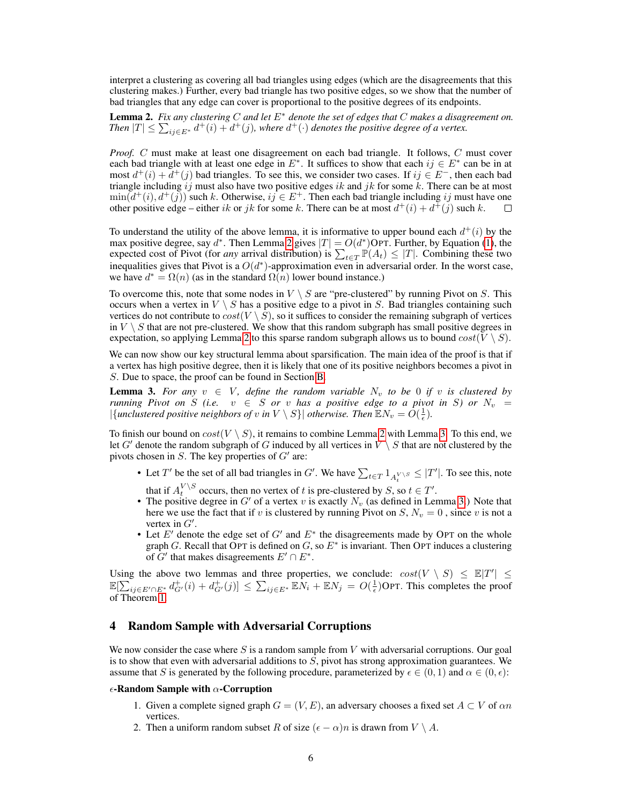interpret a clustering as covering all bad triangles using edges (which are the disagreements that this clustering makes.) Further, every bad triangle has two positive edges, so we show that the number of bad triangles that any edge can cover is proportional to the positive degrees of its endpoints.

<span id="page-5-0"></span>Lemma 2. *Fix any clustering* C *and let* E<sup>∗</sup> *denote the set of edges that* C *makes a disagreement on.* Then  $|T| \leq \sum_{ij \in E^*} d^+(i) + d^+(j)$ , where  $d^+(\cdot)$  denotes the positive degree of a vertex.

*Proof.* C must make at least one disagreement on each bad triangle. It follows, C must cover each bad triangle with at least one edge in  $E^*$ . It suffices to show that each  $ij \in E^*$  can be in at most  $d^+(i) + d^+(j)$  bad triangles. To see this, we consider two cases. If  $ij \in E^-$ , then each bad triangle including ij must also have two positive edges ik and jk for some k. There can be at most  $\min(d^+(i), d^+(j))$  such k. Otherwise,  $ij \in E^+$ . Then each bad triangle including ij must have one other positive edge – either ik or jk for some k. There can be at most  $d^+(i) + d^+(j)$  such k.  $\Box$ 

To understand the utility of the above lemma, it is informative to upper bound each  $d^+(i)$  by the max positive degree, say  $d^*$ . Then Lemma [2](#page-5-0) gives  $|T| = O(d^*)$ OPT. Further, by Equation [\(1\)](#page-4-0), the expected cost of Pivot (for *any* arrival distribution) is  $\sum_{t \in T} P(A_t) \leq |T|$ . Combining these two inequalities gives that Pivot is a  $O(d^*)$ -approximation even in adversarial order. In the worst case, we have  $d^* = \Omega(n)$  (as in the standard  $\Omega(n)$  lower bound instance.)

To overcome this, note that some nodes in  $V \setminus S$  are "pre-clustered" by running Pivot on S. This occurs when a vertex in  $V \setminus S$  has a positive edge to a pivot in S. Bad triangles containing such vertices do not contribute to  $cost(V \setminus S)$ , so it suffices to consider the remaining subgraph of vertices in  $V \setminus S$  that are not pre-clustered. We show that this random subgraph has small positive degrees in expectation, so applying Lemma [2](#page-5-0) to this sparse random subgraph allows us to bound  $cost(V \setminus S)$ .

We can now show our key structural lemma about sparsification. The main idea of the proof is that if a vertex has high positive degree, then it is likely that one of its positive neighbors becomes a pivot in S. Due to space, the proof can be found in Section [B.](#page-15-0)

<span id="page-5-1"></span>**Lemma 3.** For any  $v \in V$ , define the random variable  $N_v$  to be 0 if v is clustered by *running Pivot on* S (i.e.  $v \in S$  *or*  $v$  *has a positive edge to a pivot in* S) or  $N_v =$  $|\{\text{unclustering positive neighbors of } v \text{ in } V \setminus S\}| \text{ otherwise. Then } \mathbb{E} N_v = O(\frac{1}{\epsilon}).$ 

To finish our bound on  $cost(V \setminus S)$ , it remains to combine Lemma [2](#page-5-0) with Lemma [3.](#page-5-1) To this end, we let G' denote the random subgraph of G induced by all vertices in  $V \setminus S$  that are not clustered by the pivots chosen in  $S$ . The key properties of  $G'$  are:

- Let T' be the set of all bad triangles in G'. We have  $\sum_{t \in T} 1_{A_t^{V \setminus S}} \leq |T'|$ . To see this, note that if  $A_t^{V \setminus S}$  occurs, then no vertex of t is pre-clustered by S, so  $t \in T'$ .
- The positive degree in G' of a vertex v is exactly  $N_v$  (as defined in Lemma [3.](#page-5-1)) Note that here we use the fact that if v is clustered by running Pivot on  $S$ ,  $N_v = 0$ , since v is not a vertex in  $G'$ .
- Let  $E'$  denote the edge set of  $G'$  and  $E^*$  the disagreements made by OPT on the whole graph G. Recall that OPT is defined on G, so  $E^*$  is invariant. Then OPT induces a clustering of  $G'$  that makes disagreements  $E' \cap E^*$ .

Using the above two lemmas and three properties, we conclude:  $cost(V \setminus S) \leq \mathbb{E}[T'] \leq$  $\mathbb{E}[\sum_{ij \in E' \cap E^*} d_{G'}^+(i) + d_{G'}^+(j)] \leq \sum_{ij \in E^*} \mathbb{E} N_i + \mathbb{E} N_j = O(\frac{1}{\epsilon})$ OPT. This completes the proof of Theorem [1.](#page-3-0)

#### 4 Random Sample with Adversarial Corruptions

We now consider the case where S is a random sample from V with adversarial corruptions. Our goal is to show that even with adversarial additions to  $S$ , pivot has strong approximation guarantees. We assume that S is generated by the following procedure, parameterized by  $\epsilon \in (0,1)$  and  $\alpha \in (0,\epsilon)$ :

#### $\epsilon$ -Random Sample with  $\alpha$ -Corruption

- 1. Given a complete signed graph  $G = (V, E)$ , an adversary chooses a fixed set  $A \subset V$  of  $\alpha n$ vertices.
- 2. Then a uniform random subset R of size  $(\epsilon \alpha)n$  is drawn from  $V \setminus A$ .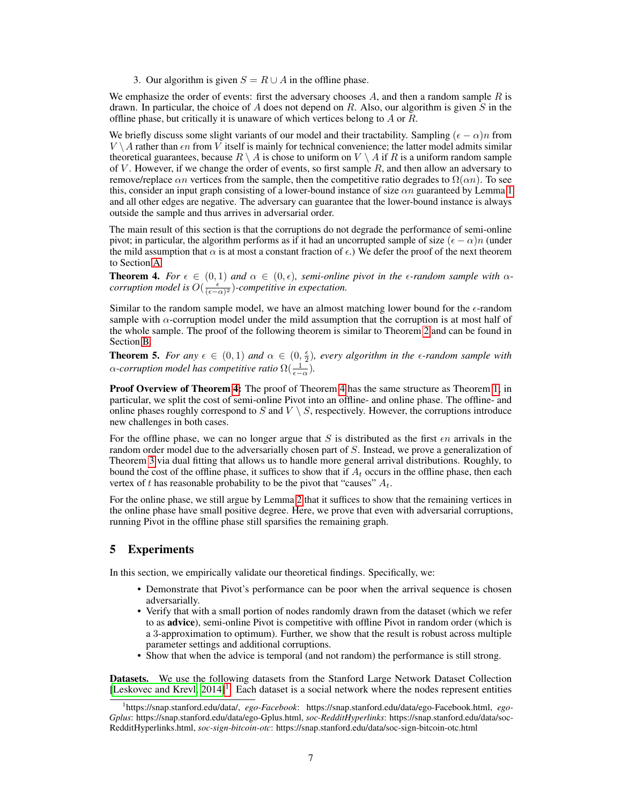3. Our algorithm is given  $S = R \cup A$  in the offline phase.

We emphasize the order of events: first the adversary chooses  $A$ , and then a random sample  $R$  is drawn. In particular, the choice of  $A$  does not depend on  $R$ . Also, our algorithm is given  $S$  in the offline phase, but critically it is unaware of which vertices belong to A or R.

We briefly discuss some slight variants of our model and their tractability. Sampling  $(\epsilon - \alpha)n$  from  $V \setminus A$  rather than  $\epsilon n$  from V itself is mainly for technical convenience; the latter model admits similar theoretical guarantees, because  $R \setminus A$  is chose to uniform on  $V \setminus A$  if R is a uniform random sample of V. However, if we change the order of events, so first sample  $R$ , and then allow an adversary to remove/replace  $\alpha n$  vertices from the sample, then the competitive ratio degrades to  $\Omega(\alpha n)$ . To see this, consider an input graph consisting of a lower-bound instance of size  $\alpha n$  guaranteed by Lemma [1](#page-2-0) and all other edges are negative. The adversary can guarantee that the lower-bound instance is always outside the sample and thus arrives in adversarial order.

The main result of this section is that the corruptions do not degrade the performance of semi-online pivot; in particular, the algorithm performs as if it had an uncorrupted sample of size  $(\epsilon - \alpha)n$  (under the mild assumption that  $\alpha$  is at most a constant fraction of  $\epsilon$ .) We defer the proof of the next theorem to Section [A](#page-12-0)

<span id="page-6-0"></span>**Theorem 4.** For  $\epsilon \in (0,1)$  and  $\alpha \in (0,\epsilon)$ , semi-online pivot in the  $\epsilon$ -random sample with  $\alpha$ *corruption model is*  $O(\frac{\epsilon}{(\epsilon - \alpha)^2})$ -competitive in expectation.

Similar to the random sample model, we have an almost matching lower bound for the  $\epsilon$ -random sample with  $\alpha$ -corruption model under the mild assumption that the corruption is at most half of the whole sample. The proof of the following theorem is similar to Theorem [2](#page-3-1) and can be found in Section [B.](#page-15-0)

<span id="page-6-2"></span>**Theorem 5.** For any  $\epsilon \in (0,1)$  and  $\alpha \in (0,\frac{\epsilon}{2})$ , every algorithm in the  $\epsilon$ -random sample with  $\alpha$ -corruption model has competitive ratio  $\Omega(\frac{1}{\epsilon-\alpha})$ .

**Proof Overview of Theorem [4:](#page-6-0)** The proof of Theorem [4](#page-6-0) has the same structure as Theorem [1;](#page-3-0) in particular, we split the cost of semi-online Pivot into an offline- and online phase. The offline- and online phases roughly correspond to  $S$  and  $V \setminus S$ , respectively. However, the corruptions introduce new challenges in both cases.

For the offline phase, we can no longer argue that S is distributed as the first  $\epsilon n$  arrivals in the random order model due to the adversarially chosen part of S. Instead, we prove a generalization of Theorem [3](#page-4-1) via dual fitting that allows us to handle more general arrival distributions. Roughly, to bound the cost of the offline phase, it suffices to show that if  $A_t$  occurs in the offline phase, then each vertex of t has reasonable probability to be the pivot that "causes"  $A_t$ .

For the online phase, we still argue by Lemma [2](#page-5-0) that it suffices to show that the remaining vertices in the online phase have small positive degree. Here, we prove that even with adversarial corruptions, running Pivot in the offline phase still sparsifies the remaining graph.

# <span id="page-6-3"></span>5 Experiments

In this section, we empirically validate our theoretical findings. Specifically, we:

- Demonstrate that Pivot's performance can be poor when the arrival sequence is chosen adversarially.
- Verify that with a small portion of nodes randomly drawn from the dataset (which we refer to as advice), semi-online Pivot is competitive with offline Pivot in random order (which is a 3-approximation to optimum). Further, we show that the result is robust across multiple parameter settings and additional corruptions.
- Show that when the advice is temporal (and not random) the performance is still strong.

Datasets. We use the following datasets from the Stanford Large Network Dataset Collection [\[Leskovec and Krevl, 2014\]](#page-10-15)<sup>[1](#page-6-1)</sup>. Each dataset is a social network where the nodes represent entities

<span id="page-6-1"></span><sup>1</sup> https://snap.stanford.edu/data/, *ego-Facebook*: https://snap.stanford.edu/data/ego-Facebook.html, *ego-Gplus*: https://snap.stanford.edu/data/ego-Gplus.html, *soc-RedditHyperlinks*: https://snap.stanford.edu/data/soc-RedditHyperlinks.html, *soc-sign-bitcoin-otc*: https://snap.stanford.edu/data/soc-sign-bitcoin-otc.html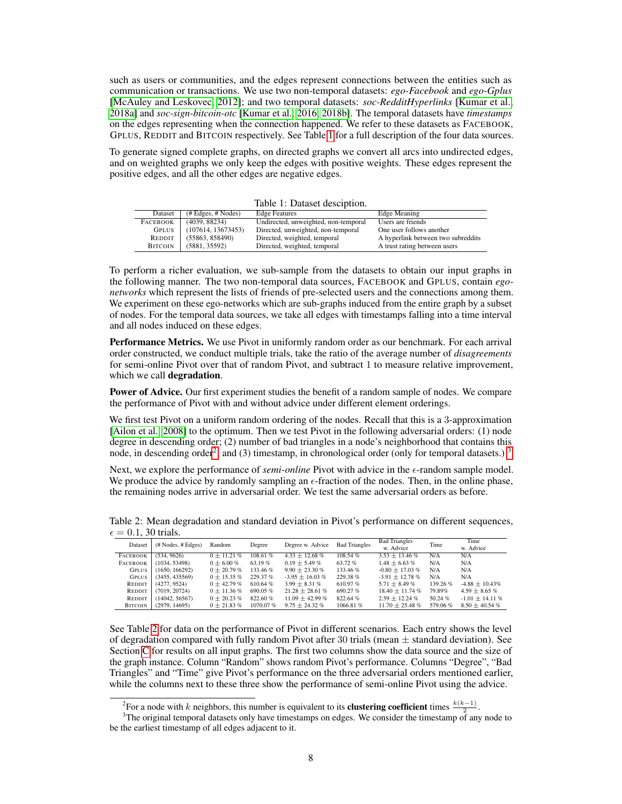such as users or communities, and the edges represent connections between the entities such as communication or transactions. We use two non-temporal datasets: *ego-Facebook* and *ego-Gplus* [\[McAuley and Leskovec, 2012\]](#page-10-16); and two temporal datasets: *soc-RedditHyperlinks* [\[Kumar et al.,](#page-10-17) [2018a\]](#page-10-17) and *soc-sign-bitcoin-otc* [\[Kumar et al., 2016,](#page-10-18) [2018b\]](#page-10-19). The temporal datasets have *timestamps* on the edges representing when the connection happened. We refer to these datasets as FACEBOOK, GPLUS, REDDIT and BITCOIN respectively. See Table [1](#page-7-0) for a full description of the four data sources.

To generate signed complete graphs, on directed graphs we convert all arcs into undirected edges, and on weighted graphs we only keep the edges with positive weights. These edges represent the positive edges, and all the other edges are negative edges.

<span id="page-7-0"></span>Table 1: Dataset desciption.

| Dataset                         | $(\# Edges, \# Nodes)$ | <b>Edge Features</b>                 | Edge Meaning                       |
|---------------------------------|------------------------|--------------------------------------|------------------------------------|
| <b>FACEBOOK</b>                 | (4039, 88234)          | Undirected, unweighted, non-temporal | Users are friends                  |
| <b>GPLUS</b>                    | (107614, 13673453)     | Directed, unweighted, non-temporal   | One user follows another           |
| REDDIT                          | (55863, 858490)        | Directed, weighted, temporal         | A hyperlink between two subreddits |
| <b>BITCOIN</b><br>(5881, 35592) |                        | Directed, weighted, temporal         | A trust rating between users       |

To perform a richer evaluation, we sub-sample from the datasets to obtain our input graphs in the following manner. The two non-temporal data sources, FACEBOOK and GPLUS, contain *egonetworks* which represent the lists of friends of pre-selected users and the connections among them. We experiment on these ego-networks which are sub-graphs induced from the entire graph by a subset of nodes. For the temporal data sources, we take all edges with timestamps falling into a time interval and all nodes induced on these edges.

Performance Metrics. We use Pivot in uniformly random order as our benchmark. For each arrival order constructed, we conduct multiple trials, take the ratio of the average number of *disagreements* for semi-online Pivot over that of random Pivot, and subtract 1 to measure relative improvement, which we call degradation.

**Power of Advice.** Our first experiment studies the benefit of a random sample of nodes. We compare the performance of Pivot with and without advice under different element orderings.

We first test Pivot on a uniform random ordering of the nodes. Recall that this is a 3-approximation [\[Ailon et al., 2008\]](#page-9-10) to the optimum. Then we test Pivot in the following adversarial orders: (1) node degree in descending order; (2) number of bad triangles in a node's neighborhood that contains this node, in descending order<sup>[2](#page-7-1)</sup>; and ([3](#page-7-2)) timestamp, in chronological order (only for temporal datasets.)  $3$ 

Next, we explore the performance of *semi-online* Pivot with advice in the  $\epsilon$ -random sample model. We produce the advice by randomly sampling an  $\epsilon$ -fraction of the nodes. Then, in the online phase, the remaining nodes arrive in adversarial order. We test the same adversarial orders as before.

<span id="page-7-3"></span>Table 2: Mean degradation and standard deviation in Pivot's performance on different sequences,  $\epsilon = 0.1$ , 30 trials.

| .               |                                      |                  |             |                      |                      |                      |          |                      |  |
|-----------------|--------------------------------------|------------------|-------------|----------------------|----------------------|----------------------|----------|----------------------|--|
| Dataset         | $(\# \text{Nodes}, \# \text{Edges})$ | Random           | Degree      | Degree w. Advice     | <b>Bad Triangles</b> | <b>Bad Triangles</b> | Time     | Time                 |  |
|                 |                                      |                  |             |                      |                      | w. Advice            |          | w. Advice            |  |
| <b>FACEBOOK</b> | (534, 9626)                          | $0 \pm 11.21 \%$ | 108.61%     | $4.33 + 12.68\%$     | 108.54%              | $3.53 \pm 13.46 \%$  | N/A      | N/A                  |  |
| <b>FACEBOOK</b> | (1034, 53498)                        | $0 \pm 6.00 \%$  | 63.19%      | $0.19 \pm 5.49 \%$   | 63.72%               | $1.48 \pm 6.63 \%$   | N/A      | N/A                  |  |
| <b>GPLUS</b>    | (1650, 166292)                       | $0 + 20.79%$     | 133.46 %    | $9.90 \pm 23.30 \%$  | 133.46 %             | $-0.80 + 17.03\%$    | N/A      | N/A                  |  |
| <b>GPLUS</b>    | (3455, 435569)                       | $0 + 15.35\%$    | 229.37 %    | $-3.95 \pm 16.03 \%$ | 229.38%              | $-3.91 \pm 12.78 \%$ | N/A      | N/A                  |  |
| REDDIT          | (4277, 9524)                         | $0 + 42.79%$     | 610.64%     | $3.99 \pm 8.31 \%$   | 610.97%              | $5.71 \pm 8.49 \%$   | 139.26 % | $-4.88 \pm 10.43\%$  |  |
| REDDIT          | (7019, 20724)                        | $0 + 11.36\%$    | 690.05%     | $21.28 + 28.61\%$    | 690.27%              | $18.40 \pm 11.74$ %  | 79.89%   | $4.59 \pm 8.65 \%$   |  |
| REDDIT          | (14042, 56567)                       | $0 + 20.23 \%$   | 822.60%     | $11.09 + 42.99\%$    | 822.64%              | $2.59 \pm 12.24 \%$  | 50.24 %  | $-1.01 \pm 14.11 \%$ |  |
| <b>BITCOIN</b>  | (2979, 14695)                        | $0 + 21.83\%$    | $1070.07\%$ | $9.75 \pm 24.32 \%$  | 1066.81%             | $11.70 + 25.48$ %    | 579.06%  | $8.50 \pm 40.54 \%$  |  |

See Table [2](#page-7-3) for data on the performance of Pivot in different scenarios. Each entry shows the level of degradation compared with fully random Pivot after 30 trials (mean  $\pm$  standard deviation). See Section [C](#page-15-1) for results on all input graphs. The first two columns show the data source and the size of the graph instance. Column "Random" shows random Pivot's performance. Columns "Degree", "Bad Triangles" and "Time" give Pivot's performance on the three adversarial orders mentioned earlier, while the columns next to these three show the performance of semi-online Pivot using the advice.

<span id="page-7-2"></span><span id="page-7-1"></span><sup>&</sup>lt;sup>2</sup>For a node with k neighbors, this number is equivalent to its **clustering coefficient** times  $\frac{k(k-1)}{2}$ .

<sup>&</sup>lt;sup>3</sup>The original temporal datasets only have timestamps on edges. We consider the timestamp of any node to be the earliest timestamp of all edges adjacent to it.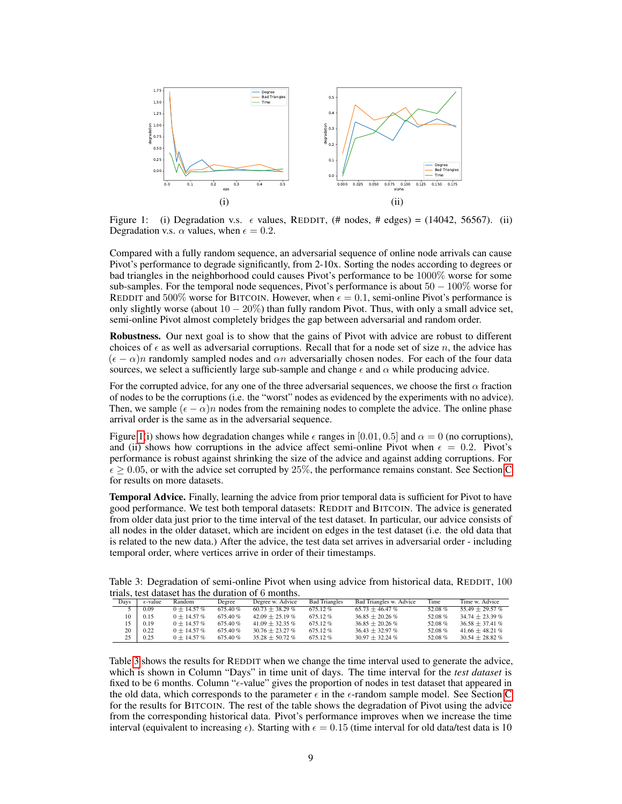

<span id="page-8-0"></span>Figure 1: (i) Degradation v.s.  $\epsilon$  values, REDDIT, (# nodes, # edges) = (14042, 56567). (ii) Degradation v.s.  $\alpha$  values, when  $\epsilon = 0.2$ .

Compared with a fully random sequence, an adversarial sequence of online node arrivals can cause Pivot's performance to degrade significantly, from 2-10x. Sorting the nodes according to degrees or bad triangles in the neighborhood could causes Pivot's performance to be 1000% worse for some sub-samples. For the temporal node sequences, Pivot's performance is about  $50 - 100\%$  worse for REDDIT and 500% worse for BITCOIN. However, when  $\epsilon = 0.1$ , semi-online Pivot's performance is only slightly worse (about  $10 - 20\%$ ) than fully random Pivot. Thus, with only a small advice set, semi-online Pivot almost completely bridges the gap between adversarial and random order.

Robustness. Our next goal is to show that the gains of Pivot with advice are robust to different choices of  $\epsilon$  as well as adversarial corruptions. Recall that for a node set of size n, the advice has  $(\epsilon - \alpha)n$  randomly sampled nodes and  $\alpha n$  adversarially chosen nodes. For each of the four data sources, we select a sufficiently large sub-sample and change  $\epsilon$  and  $\alpha$  while producing advice.

For the corrupted advice, for any one of the three adversarial sequences, we choose the first  $\alpha$  fraction of nodes to be the corruptions (i.e. the "worst" nodes as evidenced by the experiments with no advice). Then, we sample  $(\epsilon - \alpha)n$  nodes from the remaining nodes to complete the advice. The online phase arrival order is the same as in the adversarial sequence.

Figure [1\(](#page-8-0)i) shows how degradation changes while  $\epsilon$  ranges in [0.01, 0.5] and  $\alpha = 0$  (no corruptions), and (ii) shows how corruptions in the advice affect semi-online Pivot when  $\epsilon = 0.2$ . Pivot's performance is robust against shrinking the size of the advice and against adding corruptions. For  $\epsilon \geq 0.05$ , or with the advice set corrupted by 25%, the performance remains constant. See Section [C](#page-15-1) for results on more datasets.

Temporal Advice. Finally, learning the advice from prior temporal data is sufficient for Pivot to have good performance. We test both temporal datasets: REDDIT and BITCOIN. The advice is generated from older data just prior to the time interval of the test dataset. In particular, our advice consists of all nodes in the older dataset, which are incident on edges in the test dataset (i.e. the old data that is related to the new data.) After the advice, the test data set arrives in adversarial order - including temporal order, where vertices arrive in order of their timestamps.

<span id="page-8-1"></span>Table 3: Degradation of semi-online Pivot when using advice from historical data, REDDIT, 100 trials, test dataset has the duration of 6 months.

|                          | anan wa wamaye ma ma wamanchi yi a mvinin. |                  |         |                      |                      |                         |         |                      |  |  |  |  |
|--------------------------|--------------------------------------------|------------------|---------|----------------------|----------------------|-------------------------|---------|----------------------|--|--|--|--|
| Davs                     | $\epsilon$ -value                          | Random.          | Degree  | Degree w. Advice     | <b>Bad Triangles</b> | Bad Triangles w. Advice | Time    | Time w. Advice       |  |  |  |  |
| $\overline{\mathcal{L}}$ | 0.09                                       | $0 \pm 14.57 \%$ | 675.40% | $60.73 + 38.29\%$    | $675.12\%$           | $65.73 + 46.47\%$       | 52.08 % | $55.49 + 29.57\%$    |  |  |  |  |
| 10                       | 0.15                                       | $0 + 14.57\%$    | 675.40% | $42.09 + 25.19\%$    | 675.12%              | $36.85 + 20.26\%$       | 52.08%  | $34.74 + 23.39\%$    |  |  |  |  |
|                          | 0.19                                       | $0 + 14.57\%$    | 675.40% | $41.09 + 32.35\%$    | 675.12%              | $36.85 + 20.26\%$       | 52.08%  | $36.58 + 37.41\%$    |  |  |  |  |
| 20                       | 0.22                                       | $0 + 14.57\%$    | 675.40% | $30.76 \pm 23.27 \%$ | 675.12%              | $36.43 + 32.97\%$       | 52.08%  | $41.66 \pm 48.21 \%$ |  |  |  |  |
| 25                       | 0.25                                       | $0 + 14.57\%$    | 675.40% | $35.28 + 50.72\%$    | 675.12%              | $30.97 + 32.24\%$       | 52.08%  | $30.54 \pm 28.82 \%$ |  |  |  |  |

Table [3](#page-8-1) shows the results for REDDIT when we change the time interval used to generate the advice, which is shown in Column "Days" in time unit of days. The time interval for the *test dataset* is fixed to be 6 months. Column " $\epsilon$ -value" gives the proportion of nodes in test dataset that appeared in the old data, which corresponds to the parameter  $\epsilon$  in the  $\epsilon$ -random sample model. See Section [C](#page-15-1) for the results for BITCOIN. The rest of the table shows the degradation of Pivot using the advice from the corresponding historical data. Pivot's performance improves when we increase the time interval (equivalent to increasing  $\epsilon$ ). Starting with  $\epsilon = 0.15$  (time interval for old data/test data is 10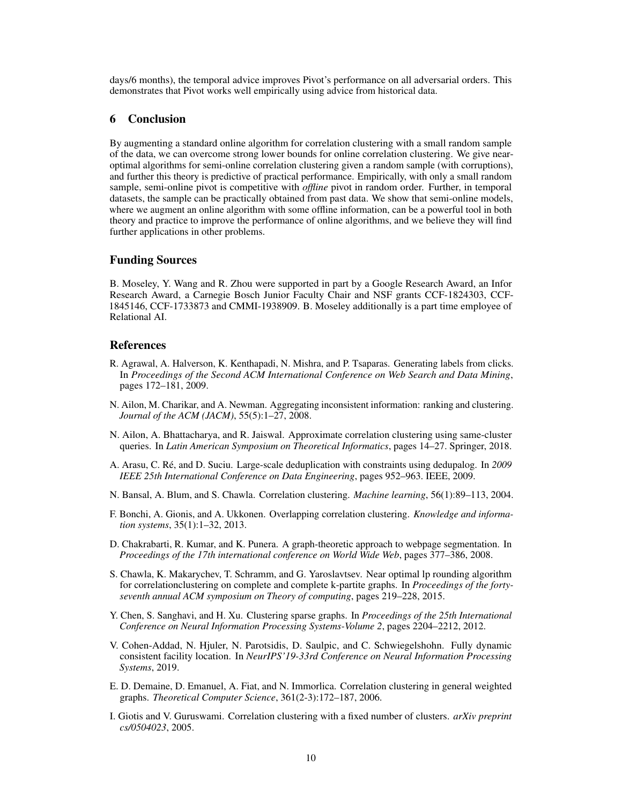days/6 months), the temporal advice improves Pivot's performance on all adversarial orders. This demonstrates that Pivot works well empirically using advice from historical data.

# 6 Conclusion

By augmenting a standard online algorithm for correlation clustering with a small random sample of the data, we can overcome strong lower bounds for online correlation clustering. We give nearoptimal algorithms for semi-online correlation clustering given a random sample (with corruptions), and further this theory is predictive of practical performance. Empirically, with only a small random sample, semi-online pivot is competitive with *offline* pivot in random order. Further, in temporal datasets, the sample can be practically obtained from past data. We show that semi-online models, where we augment an online algorithm with some offline information, can be a powerful tool in both theory and practice to improve the performance of online algorithms, and we believe they will find further applications in other problems.

### Funding Sources

B. Moseley, Y. Wang and R. Zhou were supported in part by a Google Research Award, an Infor Research Award, a Carnegie Bosch Junior Faculty Chair and NSF grants CCF-1824303, CCF-1845146, CCF-1733873 and CMMI-1938909. B. Moseley additionally is a part time employee of Relational AI.

#### References

- <span id="page-9-5"></span>R. Agrawal, A. Halverson, K. Kenthapadi, N. Mishra, and P. Tsaparas. Generating labels from clicks. In *Proceedings of the Second ACM International Conference on Web Search and Data Mining*, pages 172–181, 2009.
- <span id="page-9-10"></span>N. Ailon, M. Charikar, and A. Newman. Aggregating inconsistent information: ranking and clustering. *Journal of the ACM (JACM)*, 55(5):1–27, 2008.
- <span id="page-9-11"></span>N. Ailon, A. Bhattacharya, and R. Jaiswal. Approximate correlation clustering using same-cluster queries. In *Latin American Symposium on Theoretical Informatics*, pages 14–27. Springer, 2018.
- <span id="page-9-3"></span>A. Arasu, C. Ré, and D. Suciu. Large-scale deduplication with constraints using dedupalog. In *2009 IEEE 25th International Conference on Data Engineering*, pages 952–963. IEEE, 2009.
- <span id="page-9-1"></span>N. Bansal, A. Blum, and S. Chawla. Correlation clustering. *Machine learning*, 56(1):89–113, 2004.
- <span id="page-9-2"></span>F. Bonchi, A. Gionis, and A. Ukkonen. Overlapping correlation clustering. *Knowledge and information systems*, 35(1):1–32, 2013.
- <span id="page-9-6"></span>D. Chakrabarti, R. Kumar, and K. Punera. A graph-theoretic approach to webpage segmentation. In *Proceedings of the 17th international conference on World Wide Web*, pages 377–386, 2008.
- <span id="page-9-7"></span>S. Chawla, K. Makarychev, T. Schramm, and G. Yaroslavtsev. Near optimal lp rounding algorithm for correlationclustering on complete and complete k-partite graphs. In *Proceedings of the fortyseventh annual ACM symposium on Theory of computing*, pages 219–228, 2015.
- <span id="page-9-4"></span>Y. Chen, S. Sanghavi, and H. Xu. Clustering sparse graphs. In *Proceedings of the 25th International Conference on Neural Information Processing Systems-Volume 2*, pages 2204–2212, 2012.
- <span id="page-9-0"></span>V. Cohen-Addad, N. Hjuler, N. Parotsidis, D. Saulpic, and C. Schwiegelshohn. Fully dynamic consistent facility location. In *NeurIPS'19-33rd Conference on Neural Information Processing Systems*, 2019.
- <span id="page-9-9"></span>E. D. Demaine, D. Emanuel, A. Fiat, and N. Immorlica. Correlation clustering in general weighted graphs. *Theoretical Computer Science*, 361(2-3):172–187, 2006.
- <span id="page-9-8"></span>I. Giotis and V. Guruswami. Correlation clustering with a fixed number of clusters. *arXiv preprint cs/0504023*, 2005.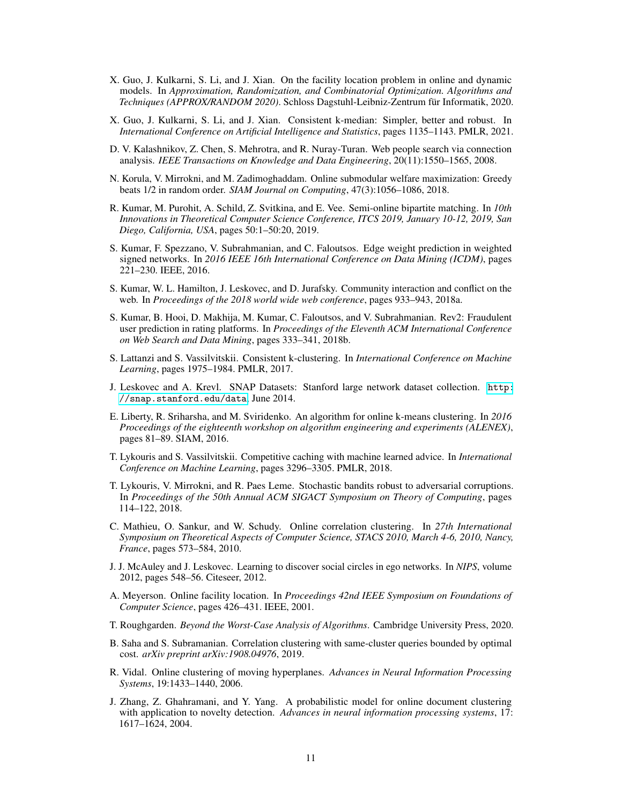- <span id="page-10-3"></span>X. Guo, J. Kulkarni, S. Li, and J. Xian. On the facility location problem in online and dynamic models. In *Approximation, Randomization, and Combinatorial Optimization. Algorithms and Techniques (APPROX/RANDOM 2020)*. Schloss Dagstuhl-Leibniz-Zentrum für Informatik, 2020.
- <span id="page-10-4"></span>X. Guo, J. Kulkarni, S. Li, and J. Xian. Consistent k-median: Simpler, better and robust. In *International Conference on Artificial Intelligence and Statistics*, pages 1135–1143. PMLR, 2021.
- <span id="page-10-7"></span>D. V. Kalashnikov, Z. Chen, S. Mehrotra, and R. Nuray-Turan. Web people search via connection analysis. *IEEE Transactions on Knowledge and Data Engineering*, 20(11):1550–1565, 2008.
- <span id="page-10-10"></span>N. Korula, V. Mirrokni, and M. Zadimoghaddam. Online submodular welfare maximization: Greedy beats 1/2 in random order. *SIAM Journal on Computing*, 47(3):1056–1086, 2018.
- <span id="page-10-12"></span>R. Kumar, M. Purohit, A. Schild, Z. Svitkina, and E. Vee. Semi-online bipartite matching. In *10th Innovations in Theoretical Computer Science Conference, ITCS 2019, January 10-12, 2019, San Diego, California, USA*, pages 50:1–50:20, 2019.
- <span id="page-10-18"></span>S. Kumar, F. Spezzano, V. Subrahmanian, and C. Faloutsos. Edge weight prediction in weighted signed networks. In *2016 IEEE 16th International Conference on Data Mining (ICDM)*, pages 221–230. IEEE, 2016.
- <span id="page-10-17"></span>S. Kumar, W. L. Hamilton, J. Leskovec, and D. Jurafsky. Community interaction and conflict on the web. In *Proceedings of the 2018 world wide web conference*, pages 933–943, 2018a.
- <span id="page-10-19"></span>S. Kumar, B. Hooi, D. Makhija, M. Kumar, C. Faloutsos, and V. Subrahmanian. Rev2: Fraudulent user prediction in rating platforms. In *Proceedings of the Eleventh ACM International Conference on Web Search and Data Mining*, pages 333–341, 2018b.
- <span id="page-10-2"></span>S. Lattanzi and S. Vassilvitskii. Consistent k-clustering. In *International Conference on Machine Learning*, pages 1975–1984. PMLR, 2017.
- <span id="page-10-15"></span>J. Leskovec and A. Krevl. SNAP Datasets: Stanford large network dataset collection. [http:](http://snap.stanford.edu/data) [//snap.stanford.edu/data](http://snap.stanford.edu/data), June 2014.
- <span id="page-10-6"></span>E. Liberty, R. Sriharsha, and M. Sviridenko. An algorithm for online k-means clustering. In *2016 Proceedings of the eighteenth workshop on algorithm engineering and experiments (ALENEX)*, pages 81–89. SIAM, 2016.
- <span id="page-10-13"></span>T. Lykouris and S. Vassilvitskii. Competitive caching with machine learned advice. In *International Conference on Machine Learning*, pages 3296–3305. PMLR, 2018.
- <span id="page-10-11"></span>T. Lykouris, V. Mirrokni, and R. Paes Leme. Stochastic bandits robust to adversarial corruptions. In *Proceedings of the 50th Annual ACM SIGACT Symposium on Theory of Computing*, pages 114–122, 2018.
- <span id="page-10-8"></span>C. Mathieu, O. Sankur, and W. Schudy. Online correlation clustering. In *27th International Symposium on Theoretical Aspects of Computer Science, STACS 2010, March 4-6, 2010, Nancy, France*, pages 573–584, 2010.
- <span id="page-10-16"></span>J. J. McAuley and J. Leskovec. Learning to discover social circles in ego networks. In *NIPS*, volume 2012, pages 548–56. Citeseer, 2012.
- <span id="page-10-5"></span>A. Meyerson. Online facility location. In *Proceedings 42nd IEEE Symposium on Foundations of Computer Science*, pages 426–431. IEEE, 2001.
- <span id="page-10-9"></span>T. Roughgarden. *Beyond the Worst-Case Analysis of Algorithms*. Cambridge University Press, 2020.
- <span id="page-10-14"></span>B. Saha and S. Subramanian. Correlation clustering with same-cluster queries bounded by optimal cost. *arXiv preprint arXiv:1908.04976*, 2019.
- <span id="page-10-1"></span>R. Vidal. Online clustering of moving hyperplanes. *Advances in Neural Information Processing Systems*, 19:1433–1440, 2006.
- <span id="page-10-0"></span>J. Zhang, Z. Ghahramani, and Y. Yang. A probabilistic model for online document clustering with application to novelty detection. *Advances in neural information processing systems*, 17: 1617–1624, 2004.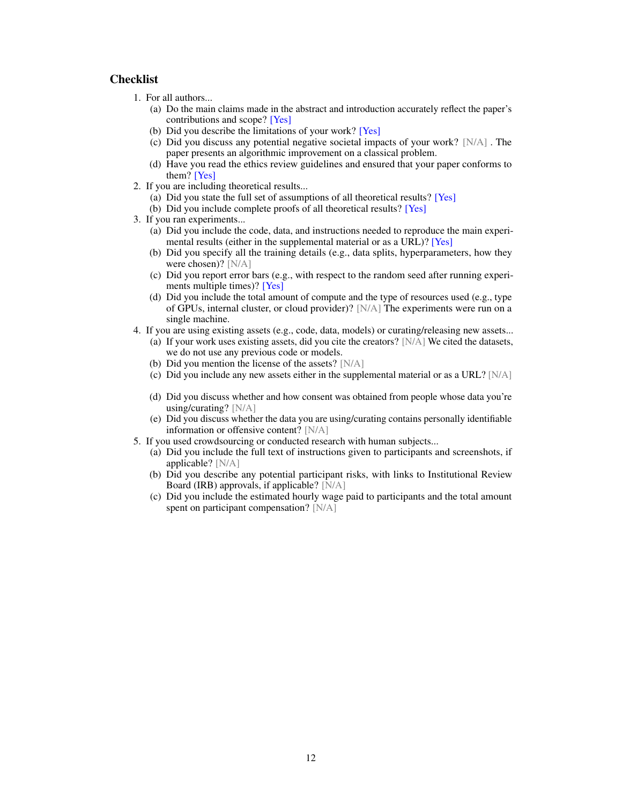# **Checklist**

- 1. For all authors...
	- (a) Do the main claims made in the abstract and introduction accurately reflect the paper's contributions and scope? [Yes]
	- (b) Did you describe the limitations of your work? [Yes]
	- (c) Did you discuss any potential negative societal impacts of your work? [N/A] . The paper presents an algorithmic improvement on a classical problem.
	- (d) Have you read the ethics review guidelines and ensured that your paper conforms to them? [Yes]
- 2. If you are including theoretical results...
	- (a) Did you state the full set of assumptions of all theoretical results? [Yes]
	- (b) Did you include complete proofs of all theoretical results? [Yes]
- 3. If you ran experiments...
	- (a) Did you include the code, data, and instructions needed to reproduce the main experimental results (either in the supplemental material or as a URL)? [Yes]
	- (b) Did you specify all the training details (e.g., data splits, hyperparameters, how they were chosen)? [N/A]
	- (c) Did you report error bars (e.g., with respect to the random seed after running experiments multiple times)? [Yes]
	- (d) Did you include the total amount of compute and the type of resources used (e.g., type of GPUs, internal cluster, or cloud provider)? [N/A] The experiments were run on a single machine.
- 4. If you are using existing assets (e.g., code, data, models) or curating/releasing new assets...
	- (a) If your work uses existing assets, did you cite the creators?  $[N/A]$  We cited the datasets, we do not use any previous code or models.
	- (b) Did you mention the license of the assets? [N/A]
	- (c) Did you include any new assets either in the supplemental material or as a URL? [N/A]
	- (d) Did you discuss whether and how consent was obtained from people whose data you're using/curating? [N/A]
	- (e) Did you discuss whether the data you are using/curating contains personally identifiable information or offensive content? [N/A]
- 5. If you used crowdsourcing or conducted research with human subjects...
	- (a) Did you include the full text of instructions given to participants and screenshots, if applicable? [N/A]
	- (b) Did you describe any potential participant risks, with links to Institutional Review Board (IRB) approvals, if applicable? [N/A]
	- (c) Did you include the estimated hourly wage paid to participants and the total amount spent on participant compensation? [N/A]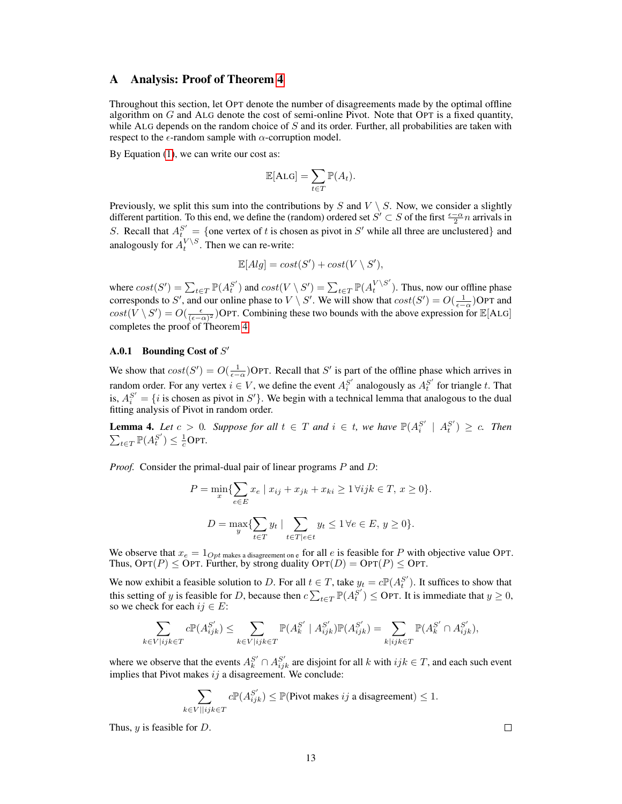### <span id="page-12-0"></span>A Analysis: Proof of Theorem [4](#page-6-0)

Throughout this section, let OPT denote the number of disagreements made by the optimal offline algorithm on  $G$  and ALG denote the cost of semi-online Pivot. Note that OPT is a fixed quantity, while ALG depends on the random choice of  $S$  and its order. Further, all probabilities are taken with respect to the  $\epsilon$ -random sample with  $\alpha$ -corruption model.

By Equation  $(1)$ , we can write our cost as:

$$
\mathbb{E}[\mathrm{ALG}] = \sum_{t \in T} \mathbb{P}(A_t).
$$

Previously, we split this sum into the contributions by S and  $V \setminus S$ . Now, we consider a slightly different partition. To this end, we define the (random) ordered set  $S' \subset S$  of the first  $\frac{\epsilon - \alpha}{2}n$  arrivals in S. Recall that  $A_t^{S'} = \{$  one vertex of t is chosen as pivot in S' while all three are unclustered and analogously for  $A_t^{V \setminus S}$ . Then we can re-write:

$$
\mathbb{E}[Alg] = cost(S') + cost(V \setminus S'),
$$

where  $cost(S') = \sum_{t \in T} \mathbb{P}(A_t^{S'})$  and  $cost(V \setminus S') = \sum_{t \in T} \mathbb{P}(A_t^{V \setminus S'})$  $t^{V(S)}$ ). Thus, now our offline phase corresponds to S', and our online phase to  $V \setminus S'$ . We will show that  $cost(S') = O(\frac{1}{\epsilon - \alpha})$ OPT and  $cost(V \setminus S') = O(\frac{\epsilon}{(\epsilon - \alpha)^2})$ OPT. Combining these two bounds with the above expression for  $\mathbb{E}[ALG]$ completes the proof of Theorem [4.](#page-6-0)

# **A.0.1** Bounding Cost of  $S'$

We show that  $cost(S') = O(\frac{1}{\epsilon - \alpha})$ OPT. Recall that S' is part of the offline phase which arrives in random order. For any vertex  $i \in V$ , we define the event  $A_i^{S'}$  analogously as  $A_i^{S'}$  for triangle t. That is,  $A_i^{S'} = \{i \text{ is chosen as pivot in } S'\}$ . We begin with a technical lemma that analogous to the dual fitting analysis of Pivot in random order.

<span id="page-12-1"></span>**Lemma 4.** Let  $c > 0$ . Suppose for all  $t \in T$  and  $i \in t$ , we have  $\mathbb{P}(A_i^{S'} \mid A_i^{S'}) \geq c$ . Then  $\sum_{t \in T} \mathbb{P}(A_t^{S'}) \leq \frac{1}{c}$ OPT.

*Proof.* Consider the primal-dual pair of linear programs P and D:

$$
P = \min_{x} \{ \sum_{e \in E} x_e \mid x_{ij} + x_{jk} + x_{ki} \ge 1 \,\forall ijk \in T, \, x \ge 0 \}.
$$

$$
D = \max_{y} \{ \sum_{t \in T} y_t \mid \sum_{t \in T | e \in t} y_t \le 1 \,\forall e \in E, \, y \ge 0 \}.
$$

We observe that  $x_e = 1_{Opt \text{ makes a disagreement on } e}$  for all e is feasible for P with objective value OPT. Thus,  $\text{OPT}(P) \leq \text{OPT}$ . Further, by strong duality  $\text{OPT}(D) = \text{OPT}(P) \leq \text{OPT}$ .

We now exhibit a feasible solution to D. For all  $t \in T$ , take  $y_t = c \mathbb{P}(A_t^{S'})$ . It suffices to show that this setting of y is feasible for D, because then  $c\sum_{t\in T}\mathbb{P}(A_t^{S'})\leq$  OPT. It is immediate that  $y\geq 0$ , so we check for each  $ij \in E$ :

$$
\sum_{e \in V | ijk \in T} c \mathbb{P}(A_{ijk}^{S'}) \le \sum_{k \in V | ijk \in T} \mathbb{P}(A_k^{S'} \mid A_{ijk}^{S'}) \mathbb{P}(A_{ijk}^{S'}) = \sum_{k | ijk \in T} \mathbb{P}(A_k^{S'} \cap A_{ijk}^{S'}),
$$

where we observe that the events  $A_k^{S'} \cap A_{ijk}^{S'}$  are disjoint for all k with  $ijk \in T$ , and each such event implies that Pivot makes  $ij$  a disagreement. We conclude:

$$
\sum_{k \in V || ijk \in T} c \mathbb{P}(A_{ijk}^{S'}) \leq \mathbb{P}(\text{Pivot makes } ij \text{ a disagreement}) \leq 1.
$$

Thus,  $y$  is feasible for  $D$ .

 $\bar{k}$ 

 $\Box$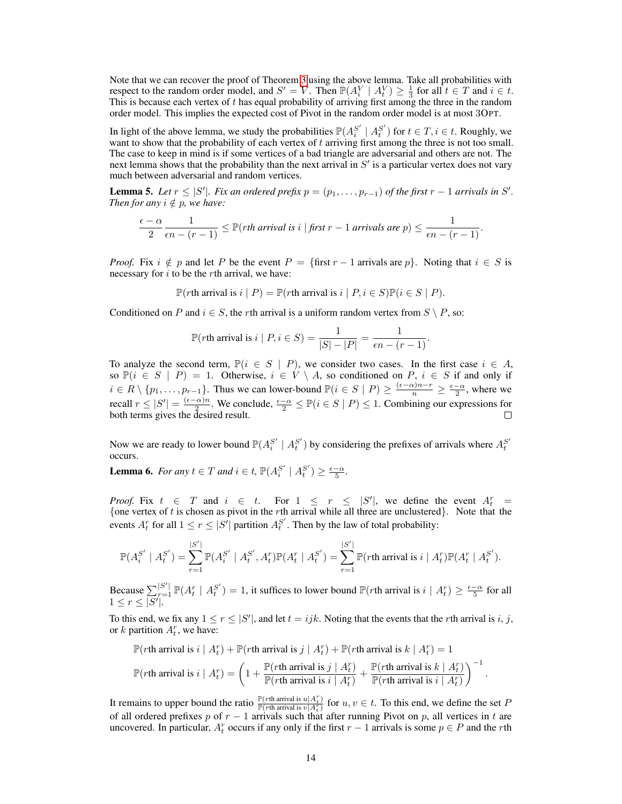Note that we can recover the proof of Theorem [3](#page-4-1) using the above lemma. Take all probabilities with respect to the random order model, and  $S' = V$ . Then  $\mathbb{P}(A_i^V | A_i^V) \geq \frac{1}{3}$  for all  $t \in T$  and  $i \in t$ . This is because each vertex of  $t$  has equal probability of arriving first among the three in the random order model. This implies the expected cost of Pivot in the random order model is at most 3OPT.

In light of the above lemma, we study the probabilities  $\mathbb{P}(A_i^{S'} \mid A_i^{S'})$  for  $t \in T, i \in t$ . Roughly, we want to show that the probability of each vertex of t arriving first among the three is not too small. The case to keep in mind is if some vertices of a bad triangle are adversarial and others are not. The next lemma shows that the probability than the next arrival in  $S'$  is a particular vertex does not vary much between adversarial and random vertices.

<span id="page-13-0"></span>**Lemma 5.** Let  $r \leq |S'|$ . Fix an ordered prefix  $p = (p_1, \ldots, p_{r-1})$  of the first  $r - 1$  arrivals in S'. *Then for any*  $i \notin p$ *, we have:* 

$$
\frac{\epsilon-\alpha}{2}\frac{1}{\epsilon n-(r-1)}\leq \mathbb{P}(r\text{th arrival is }i\mid\text{first }r-1\text{ arrivals are }p)\leq\frac{1}{\epsilon n-(r-1)}.
$$

*Proof.* Fix  $i \notin p$  and let P be the event  $P = \{\text{first } r - 1 \text{ arrivals are } p\}$ . Noting that  $i \in S$  is necessary for  $i$  to be the rth arrival, we have:

 $\mathbb{P}(r\text{th arrival is } i \mid P) = \mathbb{P}(r\text{th arrival is } i \mid P, i \in S)\mathbb{P}(i \in S \mid P).$ 

Conditioned on P and  $i \in S$ , the rth arrival is a uniform random vertex from  $S \setminus P$ , so:

$$
\mathbb{P}(r\text{th arrival is } i \mid P, i \in S) = \frac{1}{|S| - |P|} = \frac{1}{\epsilon n - (r - 1)}.
$$

To analyze the second term,  $\mathbb{P}(i \in S \mid P)$ , we consider two cases. In the first case  $i \in A$ , so  $\mathbb{P}(i \in S \mid P) = 1$ . Otherwise,  $i \in V \setminus A$ , so conditioned on P,  $i \in S$  if and only if  $i \in R \setminus \{p_1, \ldots, p_{r-1}\}\.$  Thus we can lower-bound  $\mathbb{P}(i \in S \mid P) \geq \frac{(\epsilon - \alpha)n - r}{n} \geq \frac{\epsilon - \alpha}{2}$ , where we recall  $r \leq |S'| = \frac{(\epsilon - \alpha)n}{2}$  $\frac{\alpha}{2}$ . We conclude,  $\frac{\epsilon-\alpha}{2} \leq \mathbb{P}(i \in S \mid P) \leq 1$ . Combining our expressions for both terms gives the desired result.

Now we are ready to lower bound  $\mathbb{P}(A_i^{S'} | A_i^{S'})$  by considering the prefixes of arrivals where  $A_i^{S'}$ occurs.

<span id="page-13-1"></span>**Lemma 6.** *For any*  $t \in T$  *and*  $i \in t$ ,  $\mathbb{P}(A_i^{S'} | A_i^{S'}) \geq \frac{\epsilon - \alpha}{5}$ *.* 

*Proof.* Fix  $t \in T$  and  $i \in t$ . For  $1 \leq r \leq |S'|$ , we define the event  $A_t^r =$ {one vertex of t is chosen as pivot in the rth arrival while all three are unclustered}. Note that the events  $A_t^r$  for all  $1 \le r \le |S'|$  partition  $A_t^{S'}$ . Then by the law of total probability:

$$
\mathbb{P}(A_i^{S'} \mid A_i^{S'}) = \sum_{r=1}^{|S'|} \mathbb{P}(A_i^{S'} \mid A_i^{S'}, A_t^r) \mathbb{P}(A_t^r \mid A_i^{S'}) = \sum_{r=1}^{|S'|} \mathbb{P}(r\text{th arrival is } i \mid A_t^r) \mathbb{P}(A_t^r \mid A_i^{S'}).
$$

Because  $\sum_{r=1}^{|S'|} \mathbb{P}(A_t^r | A_t^{S'}) = 1$ , it suffices to lower bound  $\mathbb{P}(r$ th arrival is  $i | A_t^r) \ge \frac{\epsilon - \alpha}{5}$  for all  $1 \leq r \leq |S'|$ .

To this end, we fix any  $1 \le r \le |S'|$ , and let  $t = ijk$ . Noting that the events that the rth arrival is i, j, or k partition  $A_t^r$ , we have:

$$
\mathbb{P}(r\text{th arrival is } i \mid A_t^r) + \mathbb{P}(r\text{th arrival is } j \mid A_t^r) + \mathbb{P}(r\text{th arrival is } k \mid A_t^r) = 1
$$
\n
$$
\mathbb{P}(r\text{th arrival is } i \mid A_t^r) = \left(1 + \frac{\mathbb{P}(r\text{th arrival is } j \mid A_t^r)}{\mathbb{P}(r\text{th arrival is } i \mid A_t^r)} + \frac{\mathbb{P}(r\text{th arrival is } k \mid A_t^r)}{\mathbb{P}(r\text{th arrival is } i \mid A_t^r)}\right)^{-1}.
$$

It remains to upper bound the ratio  $\frac{\mathbb{P}(r\text{th arrival is }u|A_t^r)}{\mathbb{P}(r\text{th arrival is }v|A_t^r)}$  for  $u, v \in t$ . To this end, we define the set P of all ordered prefixes p of  $r - 1$  arrivals such that after running Pivot on p, all vertices in t are uncovered. In particular,  $A_t^r$  occurs if any only if the first  $r - 1$  arrivals is some  $p \in P$  and the rth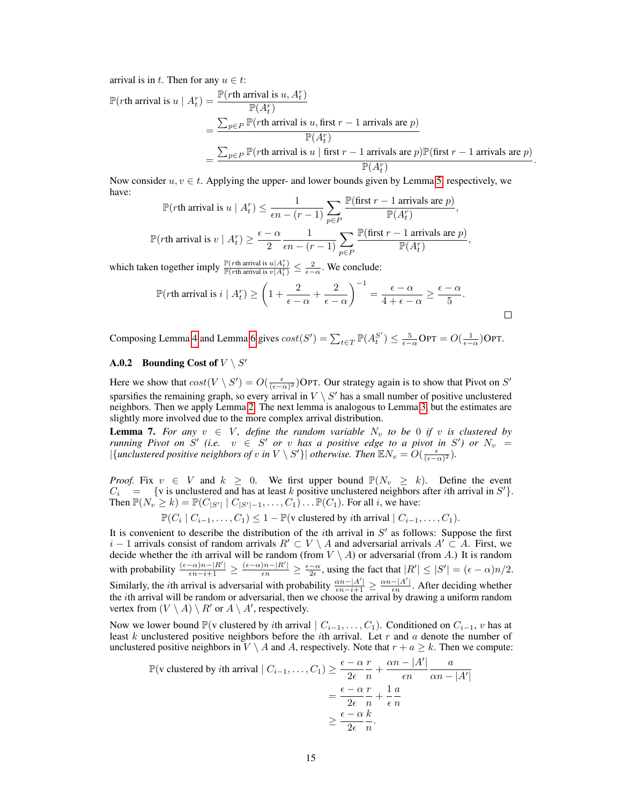arrival is in t. Then for any  $u \in t$ :

$$
\mathbb{P}(r\text{th arrival is } u \mid A_t^r) = \frac{\mathbb{P}(r\text{th arrival is } u, A_t^r)}{\mathbb{P}(A_t^r)} \n= \frac{\sum_{p \in P} \mathbb{P}(r\text{th arrival is } u, \text{first } r - 1 \text{ arrivals are } p)}{\mathbb{P}(A_t^r)} \n= \frac{\sum_{p \in P} \mathbb{P}(r\text{th arrival is } u \mid \text{first } r - 1 \text{ arrivals are } p)\mathbb{P}(\text{first } r - 1 \text{ arrivals are } p)}{\mathbb{P}(A_t^r)}.
$$

Now consider  $u, v \in t$ . Applying the upper- and lower bounds given by Lemma [5,](#page-13-0) respectively, we have:  $m/c \sim 1$ 

$$
\mathbb{P}(r\text{th arrival is } u \mid A_t^r) \le \frac{1}{\epsilon n - (r - 1)} \sum_{p \in P} \frac{\mathbb{P}(\text{first } r - 1 \text{ arrivals are } p)}{\mathbb{P}(A_t^r)},
$$
  

$$
\mathbb{P}(r\text{th arrival is } v \mid A_t^r) \ge \frac{\epsilon - \alpha}{2} \frac{1}{\epsilon n - (r - 1)} \sum_{p \in P} \frac{\mathbb{P}(\text{first } r - 1 \text{ arrivals are } p)}{\mathbb{P}(A_t^r)},
$$

which taken together imply  $\frac{\mathbb{P}(r\text{th arrival is }u|A_t^r)}{\mathbb{P}(r\text{th arrival is }v|A_t^r)} \leq \frac{2}{\epsilon - \alpha}$ . We conclude:

$$
\mathbb{P}(r\text{th arrival is } i \mid A_t^r) \ge \left(1 + \frac{2}{\epsilon - \alpha} + \frac{2}{\epsilon - \alpha}\right)^{-1} = \frac{\epsilon - \alpha}{4 + \epsilon - \alpha} \ge \frac{\epsilon - \alpha}{5}.
$$

Composing Lemma [4](#page-12-1) and Lemma [6](#page-13-1) gives  $cost(S') = \sum_{t \in T} \mathbb{P}(A_t^{S'}) \le \frac{5}{\epsilon - \alpha} \text{OPT} = O(\frac{1}{\epsilon - \alpha}) \text{OPT}$ .

# **A.0.2** Bounding Cost of  $V \setminus S'$

Here we show that  $cost(V \setminus S') = O(\frac{\epsilon}{(\epsilon - \alpha)^2})$ OPT. Our strategy again is to show that Pivot on  $S'$ sparsifies the remaining graph, so every arrival in  $V \setminus S'$  has a small number of positive unclustered neighbors. Then we apply Lemma [2.](#page-5-0) The next lemma is analogous to Lemma [3,](#page-5-1) but the estimates are slightly more involved due to the more complex arrival distribution.

<span id="page-14-0"></span>**Lemma 7.** For any  $v \in V$ , define the random variable  $N_v$  to be 0 if v is clustered by *running Pivot on*  $S'$  (*i.e.*  $v \in S'$  *or*  $v$  *has a positive edge to a pivot in*  $S'$ ) *or*  $N_v =$  $|\{\text{unclustering positive neighbors of } v \text{ in } V \setminus S'\}| \text{ otherwise. Then } \mathbb{E} N_v = O(\frac{\epsilon}{(\epsilon - \alpha)^2}).$ 

*Proof.* Fix  $v \in V$  and  $k \geq 0$ . We first upper bound  $\mathbb{P}(N_v \geq k)$ . Define the event  $C_i$  = {v is unclustered and has at least k positive unclustered neighbors after *i*th arrival in S'}. Then  $\mathbb{P}(N_v \geq k) = \mathbb{P}(C_{|S'|} | C_{|S'|-1}, \ldots, C_1) \ldots \mathbb{P}(C_1)$ . For all i, we have:

 $\mathbb{P}(C_i | C_{i-1}, \ldots, C_1) \leq 1 - \mathbb{P}(\text{v clustered by } i\text{th arrival} | C_{i-1}, \ldots, C_1).$ 

It is convenient to describe the distribution of the *i*th arrival in  $S'$  as follows: Suppose the first  $i - 1$  arrivals consist of random arrivals  $R' \subset V \setminus A$  and adversarial arrivals  $A' \subset A$ . First, we decide whether the *i*th arrival will be random (from  $V \setminus A$ ) or adversarial (from A.) It is random with probability  $\frac{(\epsilon - \alpha)n - |R'|}{\epsilon n - i + 1} \ge \frac{(\epsilon - \alpha)n - |R'|}{\epsilon n} \ge \frac{\epsilon - \alpha}{2\epsilon}$ , using the fact that  $|R'| \le |S'| = (\epsilon - \alpha)n/2$ . Similarly, the *i*th arrival is adversarial with probability  $\frac{\alpha n - |A'|}{\epsilon n - i + 1} \ge \frac{\alpha n - |A'|}{\epsilon n}$  $\frac{-|A|}{\epsilon n}$ . After deciding whether the ith arrival will be random or adversarial, then we choose the arrival by drawing a uniform random vertex from  $(V \setminus A) \setminus R'$  or  $A \setminus A'$ , respectively.

Now we lower bound  $\mathbb{P}(v \text{ clustered by } i\text{th arrival } | C_{i-1}, \ldots, C_1)$ . Conditioned on  $C_{i-1}$ , v has at least  $k$  unclustered positive neighbors before the *i*th arrival. Let  $r$  and  $a$  denote the number of unclustered positive neighbors in  $V \setminus A$  and A, respectively. Note that  $r + a \geq k$ . Then we compute:

$$
\mathbb{P}(\text{v clustered by } i\text{th arrival } | C_{i-1}, \dots, C_1) \ge \frac{\epsilon - \alpha}{2\epsilon} \frac{r}{n} + \frac{\alpha n - |A'|}{\epsilon n} \frac{a}{\alpha n - |A'|}
$$

$$
= \frac{\epsilon - \alpha}{2\epsilon} \frac{r}{n} + \frac{1}{\epsilon} \frac{a}{n}
$$

$$
\ge \frac{\epsilon - \alpha}{2\epsilon} \frac{k}{n}.
$$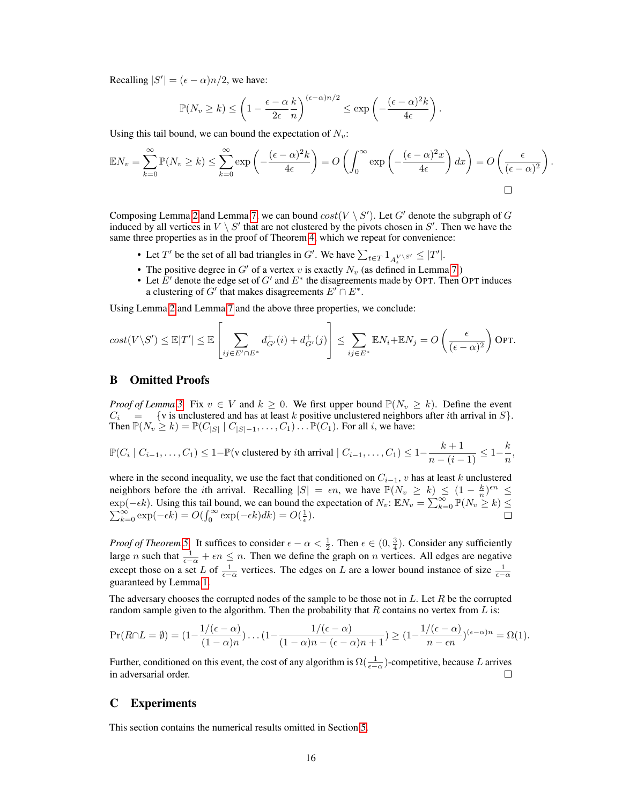Recalling  $|S'| = (\epsilon - \alpha)n/2$ , we have:

$$
\mathbb{P}(N_v \ge k) \le \left(1 - \frac{\epsilon - \alpha}{2\epsilon} \frac{k}{n}\right)^{(\epsilon - \alpha)n/2} \le \exp\left(-\frac{(\epsilon - \alpha)^2 k}{4\epsilon}\right).
$$

Using this tail bound, we can bound the expectation of  $N_v$ :

$$
\mathbb{E}N_v = \sum_{k=0}^{\infty} \mathbb{P}(N_v \ge k) \le \sum_{k=0}^{\infty} \exp\left(-\frac{(\epsilon - \alpha)^2 k}{4\epsilon}\right) = O\left(\int_0^{\infty} \exp\left(-\frac{(\epsilon - \alpha)^2 x}{4\epsilon}\right) dx\right) = O\left(\frac{\epsilon}{(\epsilon - \alpha)^2}\right).
$$

Composing Lemma [2](#page-5-0) and Lemma [7,](#page-14-0) we can bound  $cost(V \setminus S')$ . Let G' denote the subgraph of G induced by all vertices in  $V \setminus S'$  that are not clustered by the pivots chosen in  $S'$ . Then we have the same three properties as in the proof of Theorem [4,](#page-6-0) which we repeat for convenience:

- Let T' be the set of all bad triangles in G'. We have  $\sum_{t \in T} 1_{A_t^{V \setminus S'}} \leq |T'|$ .
- The positive degree in G' of a vertex v is exactly  $N_v$  (as defined in Lemma [7.](#page-14-0))
- Let  $E'$  denote the edge set of G' and  $E^*$  the disagreements made by OPT. Then OPT induces a clustering of G' that makes disagreements  $E' \cap E^*$ .

Using Lemma [2](#page-5-0) and Lemma [7](#page-14-0) and the above three properties, we conclude:

$$
cost(V\setminus S') \leq \mathbb{E}|T'| \leq \mathbb{E}\left[\sum_{ij\in E'\cap E^*}d^+_{G'}(i) + d^+_{G'}(j)\right] \leq \sum_{ij\in E^*} \mathbb{E}N_i + \mathbb{E}N_j = O\left(\frac{\epsilon}{(\epsilon - \alpha)^2}\right)
$$
OPT.

### <span id="page-15-0"></span>B Omitted Proofs

*Proof of Lemma* [3.](#page-5-1) Fix  $v \in V$  and  $k \geq 0$ . We first upper bound  $\mathbb{P}(N_v \geq k)$ . Define the event  $C_i$  = {v is unclustered and has at least k positive unclustered neighbors after ith arrival in S}. Then  $\mathbb{P}(N_v \geq k) = \mathbb{P}(C_{|S|} | C_{|S|-1}, \ldots, C_1) \ldots \mathbb{P}(C_1)$ . For all i, we have:

$$
\mathbb{P}(C_i \mid C_{i-1}, \ldots, C_1) \le 1 - \mathbb{P}(\text{v clustered by } i\text{th arrival} \mid C_{i-1}, \ldots, C_1) \le 1 - \frac{k+1}{n - (i-1)} \le 1 - \frac{k}{n},
$$

where in the second inequality, we use the fact that conditioned on  $C_{i-1}$ , v has at least k unclustered neighbors before the *i*th arrival. Recalling  $|S| = \epsilon n$ , we have  $\mathbb{P}(N_v \ge k) \le (1 - \frac{k}{n})^{\epsilon n} \le$  $\exp(-\epsilon k)$ . Using this tail bound, we can bound the expectation of  $N_v$ :  $\mathbb{E} N_v = \sum_{k=1}^{\infty}$ P p(-ek). Using this tail bound, we can bound the expectation of  $N_v$ :  $\mathbb{E}N_v = \sum_{k=0}^{\infty} \mathbb{P}(N_v \ge k) \le$ <br>  $\sum_{k=0}^{\infty} \exp(-\epsilon k) = O(\int_0^{\infty} \exp(-\epsilon k) dk) = O(\frac{1}{\epsilon}).$ 

*Proof of Theorem [5.](#page-6-2)* It suffices to consider  $\epsilon - \alpha < \frac{1}{2}$ . Then  $\epsilon \in (0, \frac{3}{4})$ . Consider any sufficiently large *n* such that  $\frac{1}{\epsilon - \alpha} + \epsilon n \leq n$ . Then we define the graph on *n* vertices. All edges are negative except those on a set L of  $\frac{1}{\epsilon - \alpha}$  vertices. The edges on L are a lower bound instance of size  $\frac{1}{\epsilon - \alpha}$ guaranteed by Lemma [1.](#page-2-0)

The adversary chooses the corrupted nodes of the sample to be those not in  $L$ . Let R be the corrupted random sample given to the algorithm. Then the probability that  $R$  contains no vertex from  $L$  is:

$$
\Pr(R \cap L = \emptyset) = (1 - \frac{1/(\epsilon - \alpha)}{(1 - \alpha)n}) \dots (1 - \frac{1/(\epsilon - \alpha)}{(1 - \alpha)n - (\epsilon - \alpha)n + 1}) \ge (1 - \frac{1/(\epsilon - \alpha)}{n - \epsilon n})^{(\epsilon - \alpha)n} = \Omega(1).
$$

Further, conditioned on this event, the cost of any algorithm is  $\Omega(\frac{1}{\epsilon - \alpha})$ -competitive, because L arrives in adversarial order.  $\Box$ 

### <span id="page-15-1"></span>C Experiments

This section contains the numerical results omitted in Section [5.](#page-6-3)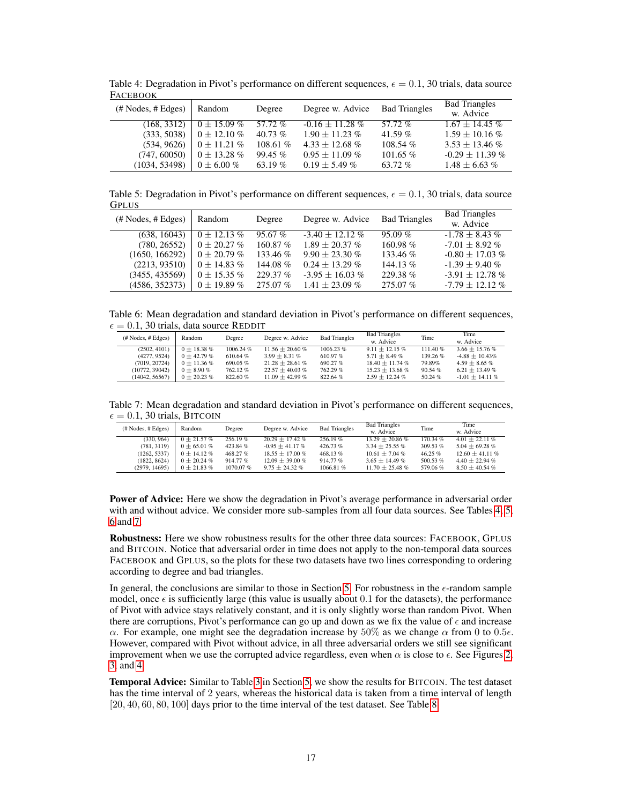| T UCEDOOIZ                           |                  |           |                    |                      |                                   |
|--------------------------------------|------------------|-----------|--------------------|----------------------|-----------------------------------|
| $(\# \text{Nodes}, \# \text{Edges})$ | Random           | Degree    | Degree w. Advice   | <b>Bad Triangles</b> | <b>Bad Triangles</b><br>w. Advice |
| (168, 3312)                          | $0 \pm 15.09 \%$ | $57.72\%$ | $-0.16 + 11.28\%$  | 57.72%               | $1.67 \pm 14.45$ %                |
| (333, 5038)                          | $0 \pm 12.10 \%$ | 40.73 $%$ | $1.90 + 11.23\%$   | 41.59 $%$            | $1.59 + 10.16\%$                  |
| (534, 9626)                          | $0 \pm 11.21 \%$ | 108.61%   | $4.33 + 12.68\%$   | 108.54%              | $3.53 + 13.46\%$                  |
| (747, 60050)                         | $0 \pm 13.28 \%$ | 99.45%    | $0.95 \pm 11.09\%$ | $101.65\%$           | $-0.29 \pm 11.39 \%$              |
| (1034, 53498)                        | $0 \pm 6.00 \%$  | 63.19 $%$ | $0.19 \pm 5.49 \%$ | $63.72\%$            | $1.48 \pm 6.63 \%$                |

<span id="page-16-0"></span>Table 4: Degradation in Pivot's performance on different sequences,  $\epsilon = 0.1$ , 30 trials, data source **FACEBOOK** 

<span id="page-16-1"></span>Table 5: Degradation in Pivot's performance on different sequences,  $\epsilon = 0.1$ , 30 trials, data source GPLUS

| $(\# \text{Nodes}, \# \text{Edges})$ | Random           | Degree     | Degree w. Advice    | <b>Bad Triangles</b> | <b>Bad Triangles</b><br>w. Advice |
|--------------------------------------|------------------|------------|---------------------|----------------------|-----------------------------------|
| (638, 16043)                         | $0 \pm 12.13 \%$ | 95.67%     | $-3.40 + 12.12\%$   | $95.09\%$            | $-1.78 \pm 8.43\%$                |
| (780, 26552)                         | $0 + 20.27 \%$   | 160.87%    | $1.89 + 20.37\%$    | $160.98\%$           | $-7.01 \pm 8.92 \%$               |
| (1650, 166292)                       | $0 + 20.79\%$    | 133.46 %   | $9.90 + 23.30\%$    | $133.46\%$           | $-0.80 \pm 17.03$ %               |
| (2213, 93510)                        | $0 \pm 14.83 \%$ | 144.08 %   | $0.24 \pm 13.29 \%$ | 144.13 $%$           | $-1.39 + 9.40\%$                  |
| (3455, 435569)                       | $0 \pm 15.35 \%$ | 229.37%    | $-3.95 \pm 16.03$ % | 229.38%              | $-3.91 \pm 12.78$ %               |
| (4586, 352373)                       | $0 \pm 19.89 \%$ | $275.07\%$ | $1.41 + 23.09\%$    | $275.07\%$           | $-7.79 \pm 12.12 \%$              |

<span id="page-16-2"></span>Table 6: Mean degradation and standard deviation in Pivot's performance on different sequences,  $\epsilon = 0.1$ , 30 trials, data source REDDIT

| $(\# \text{Nodes}, \# \text{Edges})$ | Random           | Degree   | Degree w. Advice    | <b>Bad Triangles</b> | <b>Bad Triangles</b><br>w. Advice | Time    | Time<br>w. Advice    |
|--------------------------------------|------------------|----------|---------------------|----------------------|-----------------------------------|---------|----------------------|
| (2502, 4101)                         | $0 + 18.38\%$    | 1006.24% | $11.56 + 20.60\%$   | 1006.23%             | $9.11 + 12.15\%$                  | 111.40% | $3.66 + 15.76\%$     |
| (4277, 9524)                         | $0 + 42.79\%$    | 610.64%  | $3.99 \pm 8.31 \%$  | 610.97 $%$           | $5.71 + 8.49\%$                   | 139.26% | $-4.88 \pm 10.43\%$  |
| (7019, 20724)                        | $0 \pm 11.36 \%$ | 690.05%  | $21.28 \pm 28.61\%$ | 690.27%              | $18.40 \pm 11.74 \%$              | 79.89%  | $4.59 + 8.65\%$      |
| (10772, 39042)                       | $0 + 8.90\%$     | 762.12%  | $22.57 + 40.03$ %   | 762.29%              | $15.23 + 13.68\%$                 | 90.54 % | $6.21 \pm 13.49 \%$  |
| (14042, 56567)                       | $0 + 20.23 \%$   | 822.60%  | $11.09 + 42.99\%$   | 822.64%              | $2.59 \pm 12.24 \%$               | 50.24 % | $-1.01 \pm 14.11 \%$ |

<span id="page-16-3"></span>Table 7: Mean degradation and standard deviation in Pivot's performance on different sequences,  $\epsilon = 0.1$ , 30 trials, BITCOIN

| # Nodes, # Edges) | Random           | Degree   | Degree w. Advice    | <b>Bad Triangles</b> | <b>Bad Triangles</b><br>w. Advice | Time       | Time<br>w. Advice   |
|-------------------|------------------|----------|---------------------|----------------------|-----------------------------------|------------|---------------------|
| (330, 964)        | $0 + 21.57\%$    | 256.19%  | $20.29 + 17.42\%$   | 256.19%              | $13.29 + 20.86\%$                 | $170.34\%$ | $4.01 + 22.11\%$    |
| (781, 3119)       | $0 \pm 65.01 \%$ | 423.84%  | $-0.95 + 41.17\%$   | 426.73%              | $3.34 \pm 25.55 \%$               | 309.53 %   | $5.04 \pm 69.28 \%$ |
| (1262, 5337)      | $0 \pm 14.12 \%$ | 468.27%  | $18.55 + 17.00\%$   | 468.13%              | $10.61 + 7.04\%$                  | 46.25 %    | $12.60 + 41.11\%$   |
| (1822, 8624)      | $0 + 20.24 \%$   | 914.77%  | $12.09 + 39.00\%$   | 914.77%              | $3.65 + 14.49\%$                  | 500.53%    | $4.40 \pm 22.94 \%$ |
| (2979, 14695)     | $0 + 21.83\%$    | 1070.07% | $9.75 \pm 24.32 \%$ | 1066.81%             | $11.70 \pm 25.48 \%$              | 579.06%    | $8.50 \pm 40.54 \%$ |

Power of Advice: Here we show the degradation in Pivot's average performance in adversarial order with and without advice. We consider more sub-samples from all four data sources. See Tables [4,](#page-16-0) [5,](#page-16-1) [6](#page-16-2) and [7.](#page-16-3)

Robustness: Here we show robustness results for the other three data sources: FACEBOOK, GPLUS and BITCOIN. Notice that adversarial order in time does not apply to the non-temporal data sources FACEBOOK and GPLUS, so the plots for these two datasets have two lines corresponding to ordering according to degree and bad triangles.

In general, the conclusions are similar to those in Section [5.](#page-6-3) For robustness in the  $\epsilon$ -random sample model, once  $\epsilon$  is sufficiently large (this value is usually about 0.1 for the datasets), the performance of Pivot with advice stays relatively constant, and it is only slightly worse than random Pivot. When there are corruptions, Pivot's performance can go up and down as we fix the value of  $\epsilon$  and increase α. For example, one might see the degradation increase by  $50\%$  as we change  $\alpha$  from 0 to 0.5 $\epsilon$ . However, compared with Pivot without advice, in all three adversarial orders we still see significant improvement when we use the corrupted advice regardless, even when  $\alpha$  is close to  $\epsilon$ . See Figures [2,](#page-17-0) [3,](#page-17-1) and [4.](#page-17-2)

Temporal Advice: Similar to Table [3](#page-8-1) in Section [5,](#page-6-3) we show the results for BITCOIN. The test dataset has the time interval of 2 years, whereas the historical data is taken from a time interval of length [20, 40, 60, 80, 100] days prior to the time interval of the test dataset. See Table [8.](#page-17-3)